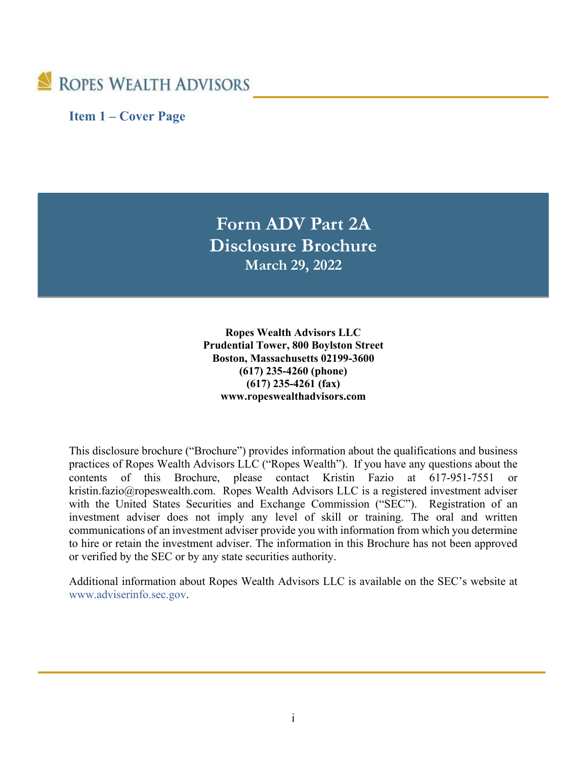

**Item 1 – Cover Page**

**Form ADV Part 2A Disclosure Brochure March 29, 2022**

**Ropes Wealth Advisors LLC Prudential Tower, 800 Boylston Street Boston, Massachusetts 02199-3600 (617) 235-4260 (phone) (617) 235-4261 (fax) www.ropeswealthadvisors.com**

This disclosure brochure ("Brochure") provides information about the qualifications and business practices of Ropes Wealth Advisors LLC ("Ropes Wealth"). If you have any questions about the contents of this Brochure, please contact Kristin Fazio at 617-951-7551 or kristin.fazio@ropeswealth.com. Ropes Wealth Advisors LLC is a registered investment adviser with the United States Securities and Exchange Commission ("SEC"). Registration of an investment adviser does not imply any level of skill or training. The oral and written communications of an investment adviser provide you with information from which you determine to hire or retain the investment adviser. The information in this Brochure has not been approved or verified by the SEC or by any state securities authority.

Additional information about Ropes Wealth Advisors LLC is available on the SEC's website at [www.adviserinfo.sec.gov.](http://www.adviserinfo.sec.gov/)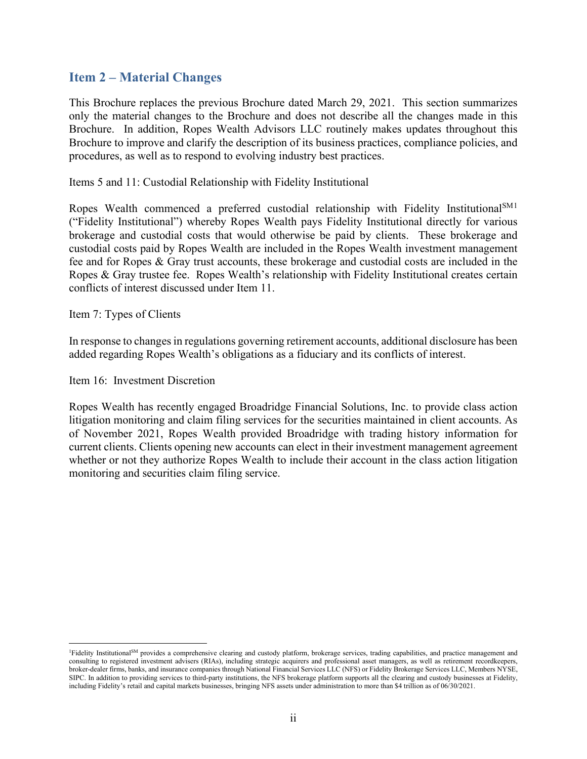### **Item 2 – Material Changes**

This Brochure replaces the previous Brochure dated March 29, 2021. This section summarizes only the material changes to the Brochure and does not describe all the changes made in this Brochure. In addition, Ropes Wealth Advisors LLC routinely makes updates throughout this Brochure to improve and clarify the description of its business practices, compliance policies, and procedures, as well as to respond to evolving industry best practices.

Items 5 and 11: Custodial Relationship with Fidelity Institutional

Ropes Wealth commenced a preferred custodial relationship with Fidelity Institutional<sup>SM[1](#page-1-0)</sup> ("Fidelity Institutional") whereby Ropes Wealth pays Fidelity Institutional directly for various brokerage and custodial costs that would otherwise be paid by clients. These brokerage and custodial costs paid by Ropes Wealth are included in the Ropes Wealth investment management fee and for Ropes & Gray trust accounts, these brokerage and custodial costs are included in the Ropes & Gray trustee fee. Ropes Wealth's relationship with Fidelity Institutional creates certain conflicts of interest discussed under Item 11.

Item 7: Types of Clients

In response to changes in regulations governing retirement accounts, additional disclosure has been added regarding Ropes Wealth's obligations as a fiduciary and its conflicts of interest.

Item 16: Investment Discretion

Ropes Wealth has recently engaged Broadridge Financial Solutions, Inc. to provide class action litigation monitoring and claim filing services for the securities maintained in client accounts. As of November 2021, Ropes Wealth provided Broadridge with trading history information for current clients. Clients opening new accounts can elect in their investment management agreement whether or not they authorize Ropes Wealth to include their account in the class action litigation monitoring and securities claim filing service.

<span id="page-1-0"></span><sup>&</sup>lt;sup>1</sup>Fidelity Institutional<sup>SM</sup> provides a comprehensive clearing and custody platform, brokerage services, trading capabilities, and practice management and consulting to registered investment advisers (RIAs), including strategic acquirers and professional asset managers, as well as retirement recordkeepers, broker-dealer firms, banks, and insurance companies through National Financial Services LLC (NFS) or Fidelity Brokerage Services LLC, Members NYSE, SIPC. In addition to providing services to third-party institutions, the NFS brokerage platform supports all the clearing and custody businesses at Fidelity, including Fidelity's retail and capital markets businesses, bringing NFS assets under administration to more than \$4 trillion as of 06/30/2021.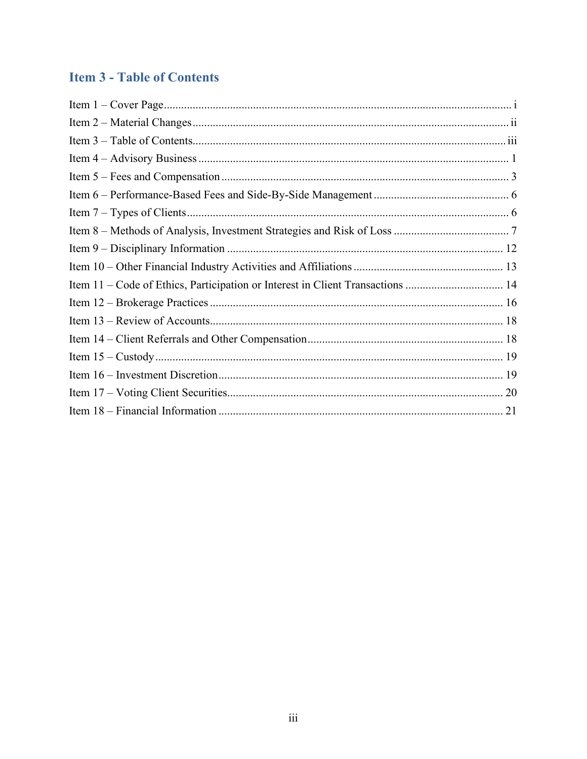## **Item 3 - Table of Contents**

| Item 11 – Code of Ethics, Participation or Interest in Client Transactions  14 |  |
|--------------------------------------------------------------------------------|--|
|                                                                                |  |
|                                                                                |  |
|                                                                                |  |
|                                                                                |  |
|                                                                                |  |
|                                                                                |  |
|                                                                                |  |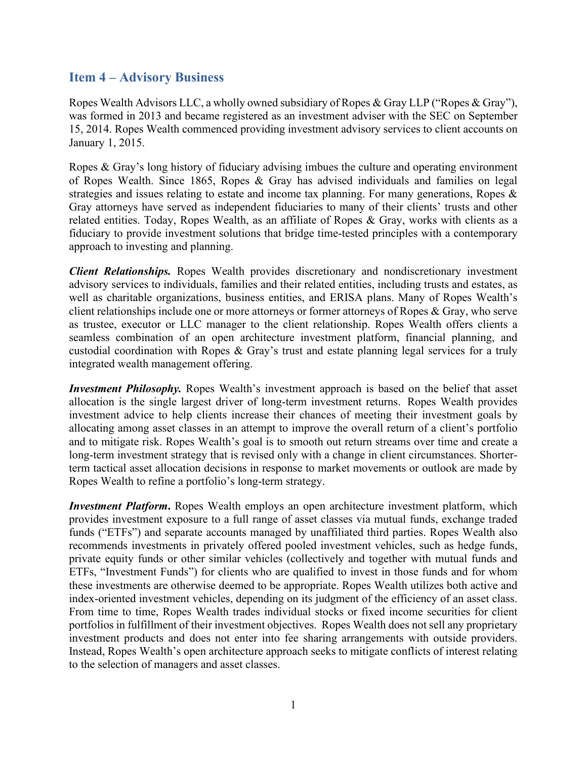#### **Item 4 – Advisory Business**

Ropes Wealth Advisors LLC, a wholly owned subsidiary of Ropes & Gray LLP ("Ropes & Gray"), was formed in 2013 and became registered as an investment adviser with the SEC on September 15, 2014. Ropes Wealth commenced providing investment advisory services to client accounts on January 1, 2015.

Ropes & Gray's long history of fiduciary advising imbues the culture and operating environment of Ropes Wealth. Since 1865, Ropes & Gray has advised individuals and families on legal strategies and issues relating to estate and income tax planning. For many generations, Ropes & Gray attorneys have served as independent fiduciaries to many of their clients' trusts and other related entities. Today, Ropes Wealth, as an affiliate of Ropes & Gray, works with clients as a fiduciary to provide investment solutions that bridge time-tested principles with a contemporary approach to investing and planning.

*Client Relationships.* Ropes Wealth provides discretionary and nondiscretionary investment advisory services to individuals, families and their related entities, including trusts and estates, as well as charitable organizations, business entities, and ERISA plans. Many of Ropes Wealth's client relationships include one or more attorneys or former attorneys of Ropes & Gray, who serve as trustee, executor or LLC manager to the client relationship. Ropes Wealth offers clients a seamless combination of an open architecture investment platform, financial planning, and custodial coordination with Ropes & Gray's trust and estate planning legal services for a truly integrated wealth management offering.

*Investment Philosophy.* Ropes Wealth's investment approach is based on the belief that asset allocation is the single largest driver of long-term investment returns. Ropes Wealth provides investment advice to help clients increase their chances of meeting their investment goals by allocating among asset classes in an attempt to improve the overall return of a client's portfolio and to mitigate risk. Ropes Wealth's goal is to smooth out return streams over time and create a long-term investment strategy that is revised only with a change in client circumstances. Shorterterm tactical asset allocation decisions in response to market movements or outlook are made by Ropes Wealth to refine a portfolio's long-term strategy.

*Investment Platform***.** Ropes Wealth employs an open architecture investment platform, which provides investment exposure to a full range of asset classes via mutual funds, exchange traded funds ("ETFs") and separate accounts managed by unaffiliated third parties. Ropes Wealth also recommends investments in privately offered pooled investment vehicles, such as hedge funds, private equity funds or other similar vehicles (collectively and together with mutual funds and ETFs, "Investment Funds") for clients who are qualified to invest in those funds and for whom these investments are otherwise deemed to be appropriate. Ropes Wealth utilizes both active and index-oriented investment vehicles, depending on its judgment of the efficiency of an asset class. From time to time, Ropes Wealth trades individual stocks or fixed income securities for client portfolios in fulfillment of their investment objectives. Ropes Wealth does not sell any proprietary investment products and does not enter into fee sharing arrangements with outside providers. Instead, Ropes Wealth's open architecture approach seeks to mitigate conflicts of interest relating to the selection of managers and asset classes.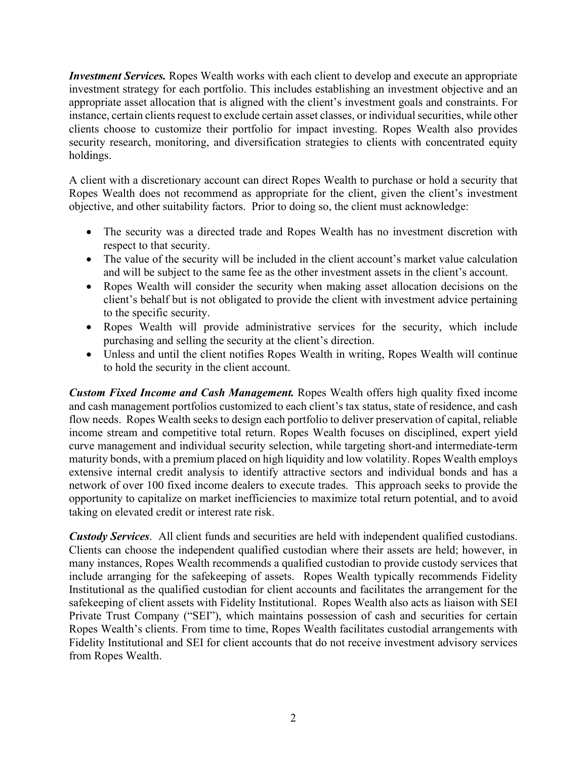*Investment Services.* Ropes Wealth works with each client to develop and execute an appropriate investment strategy for each portfolio. This includes establishing an investment objective and an appropriate asset allocation that is aligned with the client's investment goals and constraints. For instance, certain clients request to exclude certain asset classes, or individual securities, while other clients choose to customize their portfolio for impact investing. Ropes Wealth also provides security research, monitoring, and diversification strategies to clients with concentrated equity holdings.

A client with a discretionary account can direct Ropes Wealth to purchase or hold a security that Ropes Wealth does not recommend as appropriate for the client, given the client's investment objective, and other suitability factors. Prior to doing so, the client must acknowledge:

- The security was a directed trade and Ropes Wealth has no investment discretion with respect to that security.
- The value of the security will be included in the client account's market value calculation and will be subject to the same fee as the other investment assets in the client's account.
- Ropes Wealth will consider the security when making asset allocation decisions on the client's behalf but is not obligated to provide the client with investment advice pertaining to the specific security.
- Ropes Wealth will provide administrative services for the security, which include purchasing and selling the security at the client's direction.
- Unless and until the client notifies Ropes Wealth in writing, Ropes Wealth will continue to hold the security in the client account.

*Custom Fixed Income and Cash Management.* Ropes Wealth offers high quality fixed income and cash management portfolios customized to each client's tax status, state of residence, and cash flow needs. Ropes Wealth seeks to design each portfolio to deliver preservation of capital, reliable income stream and competitive total return. Ropes Wealth focuses on disciplined, expert yield curve management and individual security selection, while targeting short-and intermediate-term maturity bonds, with a premium placed on high liquidity and low volatility. Ropes Wealth employs extensive internal credit analysis to identify attractive sectors and individual bonds and has a network of over 100 fixed income dealers to execute trades. This approach seeks to provide the opportunity to capitalize on market inefficiencies to maximize total return potential, and to avoid taking on elevated credit or interest rate risk.

*Custody Services*. All client funds and securities are held with independent qualified custodians. Clients can choose the independent qualified custodian where their assets are held; however, in many instances, Ropes Wealth recommends a qualified custodian to provide custody services that include arranging for the safekeeping of assets. Ropes Wealth typically recommends Fidelity Institutional as the qualified custodian for client accounts and facilitates the arrangement for the safekeeping of client assets with Fidelity Institutional. Ropes Wealth also acts as liaison with SEI Private Trust Company ("SEI"), which maintains possession of cash and securities for certain Ropes Wealth's clients. From time to time, Ropes Wealth facilitates custodial arrangements with Fidelity Institutional and SEI for client accounts that do not receive investment advisory services from Ropes Wealth.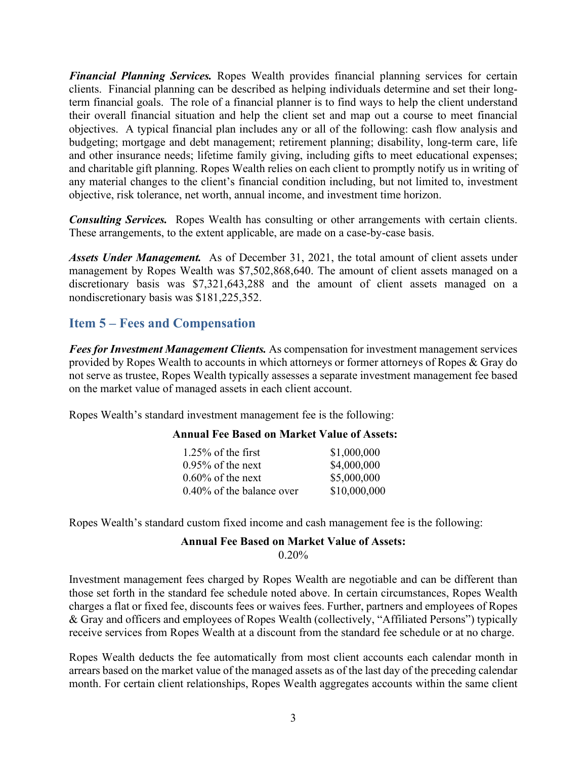*Financial Planning Services.* Ropes Wealth provides financial planning services for certain clients. Financial planning can be described as helping individuals determine and set their longterm financial goals. The role of a financial planner is to find ways to help the client understand their overall financial situation and help the client set and map out a course to meet financial objectives. A typical financial plan includes any or all of the following: cash flow analysis and budgeting; mortgage and debt management; retirement planning; disability, long-term care, life and other insurance needs; lifetime family giving, including gifts to meet educational expenses; and charitable gift planning. Ropes Wealth relies on each client to promptly notify us in writing of any material changes to the client's financial condition including, but not limited to, investment objective, risk tolerance, net worth, annual income, and investment time horizon.

*Consulting Services.* Ropes Wealth has consulting or other arrangements with certain clients. These arrangements, to the extent applicable, are made on a case-by-case basis.

*Assets Under Management.* As of December 31, 2021, the total amount of client assets under management by Ropes Wealth was \$7,502,868,640. The amount of client assets managed on a discretionary basis was \$7,321,643,288 and the amount of client assets managed on a nondiscretionary basis was \$181,225,352.

## **Item 5 – Fees and Compensation**

*Fees for Investment Management Clients.* As compensation for investment management services provided by Ropes Wealth to accounts in which attorneys or former attorneys of Ropes & Gray do not serve as trustee, Ropes Wealth typically assesses a separate investment management fee based on the market value of managed assets in each client account.

Ropes Wealth's standard investment management fee is the following:

#### **Annual Fee Based on Market Value of Assets:**

| $1.25\%$ of the first        | \$1,000,000  |
|------------------------------|--------------|
| $0.95\%$ of the next         | \$4,000,000  |
| $0.60\%$ of the next         | \$5,000,000  |
| $0.40\%$ of the balance over | \$10,000,000 |

Ropes Wealth's standard custom fixed income and cash management fee is the following:

#### **Annual Fee Based on Market Value of Assets:** 0.20%

Investment management fees charged by Ropes Wealth are negotiable and can be different than those set forth in the standard fee schedule noted above. In certain circumstances, Ropes Wealth charges a flat or fixed fee, discounts fees or waives fees. Further, partners and employees of Ropes & Gray and officers and employees of Ropes Wealth (collectively, "Affiliated Persons") typically receive services from Ropes Wealth at a discount from the standard fee schedule or at no charge.

Ropes Wealth deducts the fee automatically from most client accounts each calendar month in arrears based on the market value of the managed assets as of the last day of the preceding calendar month. For certain client relationships, Ropes Wealth aggregates accounts within the same client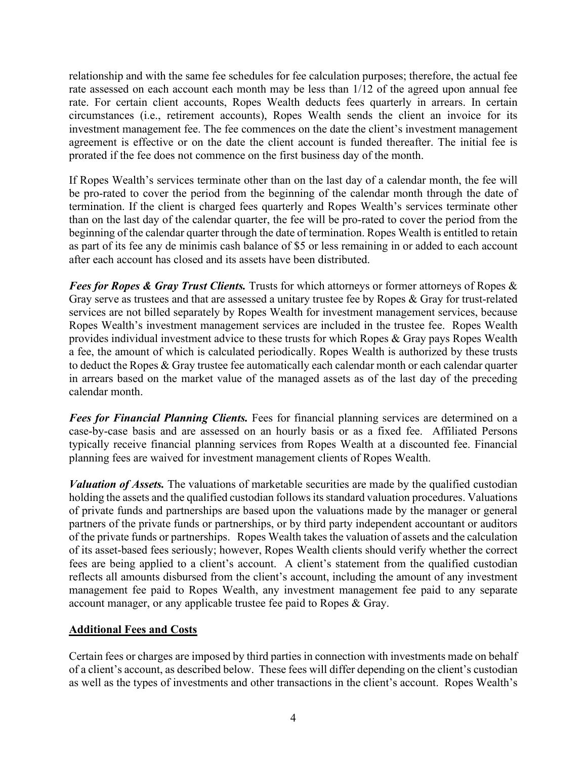relationship and with the same fee schedules for fee calculation purposes; therefore, the actual fee rate assessed on each account each month may be less than 1/12 of the agreed upon annual fee rate. For certain client accounts, Ropes Wealth deducts fees quarterly in arrears. In certain circumstances (i.e., retirement accounts), Ropes Wealth sends the client an invoice for its investment management fee. The fee commences on the date the client's investment management agreement is effective or on the date the client account is funded thereafter. The initial fee is prorated if the fee does not commence on the first business day of the month.

If Ropes Wealth's services terminate other than on the last day of a calendar month, the fee will be pro-rated to cover the period from the beginning of the calendar month through the date of termination. If the client is charged fees quarterly and Ropes Wealth's services terminate other than on the last day of the calendar quarter, the fee will be pro-rated to cover the period from the beginning of the calendar quarter through the date of termination. Ropes Wealth is entitled to retain as part of its fee any de minimis cash balance of \$5 or less remaining in or added to each account after each account has closed and its assets have been distributed.

*Fees for Ropes & Gray Trust Clients.* Trusts for which attorneys or former attorneys of Ropes & Gray serve as trustees and that are assessed a unitary trustee fee by Ropes & Gray for trust-related services are not billed separately by Ropes Wealth for investment management services, because Ropes Wealth's investment management services are included in the trustee fee. Ropes Wealth provides individual investment advice to these trusts for which Ropes & Gray pays Ropes Wealth a fee, the amount of which is calculated periodically. Ropes Wealth is authorized by these trusts to deduct the Ropes & Gray trustee fee automatically each calendar month or each calendar quarter in arrears based on the market value of the managed assets as of the last day of the preceding calendar month.

*Fees for Financial Planning Clients.* Fees for financial planning services are determined on a case-by-case basis and are assessed on an hourly basis or as a fixed fee. Affiliated Persons typically receive financial planning services from Ropes Wealth at a discounted fee. Financial planning fees are waived for investment management clients of Ropes Wealth.

*Valuation of Assets.* The valuations of marketable securities are made by the qualified custodian holding the assets and the qualified custodian follows its standard valuation procedures. Valuations of private funds and partnerships are based upon the valuations made by the manager or general partners of the private funds or partnerships, or by third party independent accountant or auditors of the private funds or partnerships. Ropes Wealth takes the valuation of assets and the calculation of its asset-based fees seriously; however, Ropes Wealth clients should verify whether the correct fees are being applied to a client's account. A client's statement from the qualified custodian reflects all amounts disbursed from the client's account, including the amount of any investment management fee paid to Ropes Wealth, any investment management fee paid to any separate account manager, or any applicable trustee fee paid to Ropes & Gray.

#### **Additional Fees and Costs**

Certain fees or charges are imposed by third parties in connection with investments made on behalf of a client's account, as described below. These fees will differ depending on the client's custodian as well as the types of investments and other transactions in the client's account. Ropes Wealth's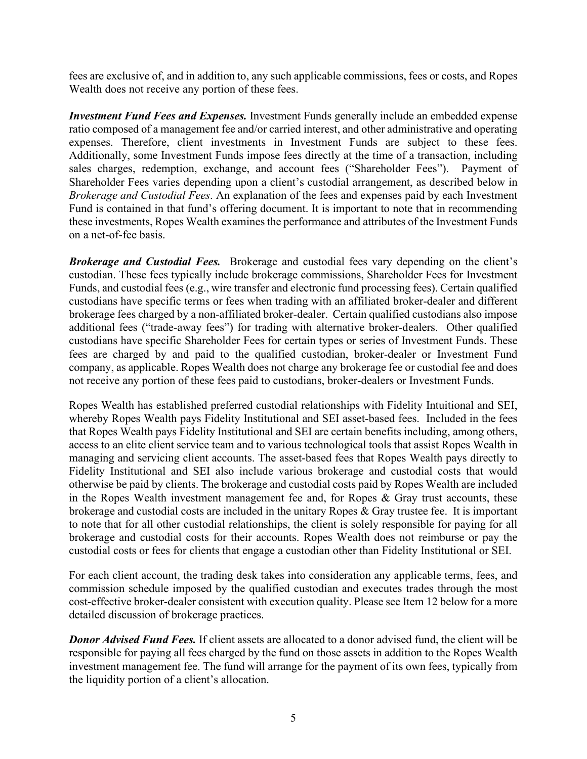fees are exclusive of, and in addition to, any such applicable commissions, fees or costs, and Ropes Wealth does not receive any portion of these fees.

*Investment Fund Fees and Expenses.* Investment Funds generally include an embedded expense ratio composed of a management fee and/or carried interest, and other administrative and operating expenses. Therefore, client investments in Investment Funds are subject to these fees. Additionally, some Investment Funds impose fees directly at the time of a transaction, including sales charges, redemption, exchange, and account fees ("Shareholder Fees"). Payment of Shareholder Fees varies depending upon a client's custodial arrangement, as described below in *Brokerage and Custodial Fees*. An explanation of the fees and expenses paid by each Investment Fund is contained in that fund's offering document. It is important to note that in recommending these investments, Ropes Wealth examines the performance and attributes of the Investment Funds on a net-of-fee basis.

*Brokerage and Custodial Fees.* Brokerage and custodial fees vary depending on the client's custodian. These fees typically include brokerage commissions, Shareholder Fees for Investment Funds, and custodial fees (e.g., wire transfer and electronic fund processing fees). Certain qualified custodians have specific terms or fees when trading with an affiliated broker-dealer and different brokerage fees charged by a non-affiliated broker-dealer. Certain qualified custodians also impose additional fees ("trade-away fees") for trading with alternative broker-dealers. Other qualified custodians have specific Shareholder Fees for certain types or series of Investment Funds. These fees are charged by and paid to the qualified custodian, broker-dealer or Investment Fund company, as applicable. Ropes Wealth does not charge any brokerage fee or custodial fee and does not receive any portion of these fees paid to custodians, broker-dealers or Investment Funds.

Ropes Wealth has established preferred custodial relationships with Fidelity Intuitional and SEI, whereby Ropes Wealth pays Fidelity Institutional and SEI asset-based fees. Included in the fees that Ropes Wealth pays Fidelity Institutional and SEI are certain benefits including, among others, access to an elite client service team and to various technological tools that assist Ropes Wealth in managing and servicing client accounts. The asset-based fees that Ropes Wealth pays directly to Fidelity Institutional and SEI also include various brokerage and custodial costs that would otherwise be paid by clients. The brokerage and custodial costs paid by Ropes Wealth are included in the Ropes Wealth investment management fee and, for Ropes & Gray trust accounts, these brokerage and custodial costs are included in the unitary Ropes & Gray trustee fee. It is important to note that for all other custodial relationships, the client is solely responsible for paying for all brokerage and custodial costs for their accounts. Ropes Wealth does not reimburse or pay the custodial costs or fees for clients that engage a custodian other than Fidelity Institutional or SEI.

For each client account, the trading desk takes into consideration any applicable terms, fees, and commission schedule imposed by the qualified custodian and executes trades through the most cost-effective broker-dealer consistent with execution quality. Please see Item 12 below for a more detailed discussion of brokerage practices.

*Donor Advised Fund Fees.* If client assets are allocated to a donor advised fund, the client will be responsible for paying all fees charged by the fund on those assets in addition to the Ropes Wealth investment management fee. The fund will arrange for the payment of its own fees, typically from the liquidity portion of a client's allocation.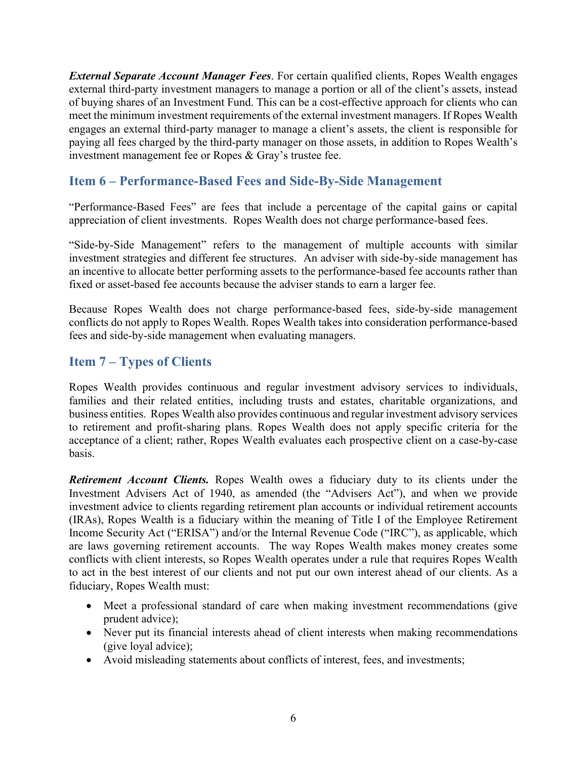*External Separate Account Manager Fees*. For certain qualified clients, Ropes Wealth engages external third-party investment managers to manage a portion or all of the client's assets, instead of buying shares of an Investment Fund. This can be a cost-effective approach for clients who can meet the minimum investment requirements of the external investment managers. If Ropes Wealth engages an external third-party manager to manage a client's assets, the client is responsible for paying all fees charged by the third-party manager on those assets, in addition to Ropes Wealth's investment management fee or Ropes & Gray's trustee fee.

## **Item 6 – Performance-Based Fees and Side-By-Side Management**

"Performance-Based Fees" are fees that include a percentage of the capital gains or capital appreciation of client investments. Ropes Wealth does not charge performance-based fees.

"Side-by-Side Management" refers to the management of multiple accounts with similar investment strategies and different fee structures. An adviser with side-by-side management has an incentive to allocate better performing assets to the performance-based fee accounts rather than fixed or asset-based fee accounts because the adviser stands to earn a larger fee.

Because Ropes Wealth does not charge performance-based fees, side-by-side management conflicts do not apply to Ropes Wealth. Ropes Wealth takes into consideration performance-based fees and side-by-side management when evaluating managers.

#### **Item 7 – Types of Clients**

Ropes Wealth provides continuous and regular investment advisory services to individuals, families and their related entities, including trusts and estates, charitable organizations, and business entities. Ropes Wealth also provides continuous and regular investment advisory services to retirement and profit-sharing plans. Ropes Wealth does not apply specific criteria for the acceptance of a client; rather, Ropes Wealth evaluates each prospective client on a case-by-case basis.

*Retirement Account Clients.* Ropes Wealth owes a fiduciary duty to its clients under the Investment Advisers Act of 1940, as amended (the "Advisers Act"), and when we provide investment advice to clients regarding retirement plan accounts or individual retirement accounts (IRAs), Ropes Wealth is a fiduciary within the meaning of Title I of the Employee Retirement Income Security Act ("ERISA") and/or the Internal Revenue Code ("IRC"), as applicable, which are laws governing retirement accounts. The way Ropes Wealth makes money creates some conflicts with client interests, so Ropes Wealth operates under a rule that requires Ropes Wealth to act in the best interest of our clients and not put our own interest ahead of our clients. As a fiduciary, Ropes Wealth must:

- Meet a professional standard of care when making investment recommendations (give prudent advice);
- Never put its financial interests ahead of client interests when making recommendations (give loyal advice);
- Avoid misleading statements about conflicts of interest, fees, and investments;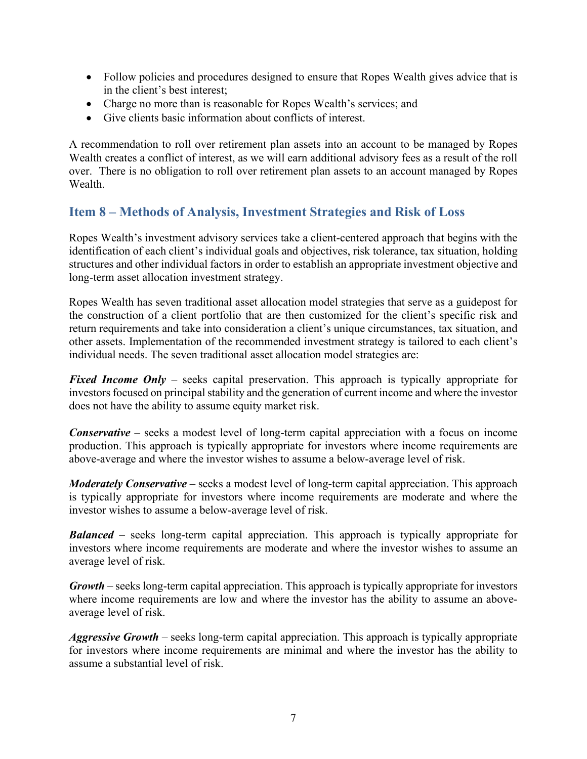- Follow policies and procedures designed to ensure that Ropes Wealth gives advice that is in the client's best interest;
- Charge no more than is reasonable for Ropes Wealth's services; and
- Give clients basic information about conflicts of interest.

A recommendation to roll over retirement plan assets into an account to be managed by Ropes Wealth creates a conflict of interest, as we will earn additional advisory fees as a result of the roll over. There is no obligation to roll over retirement plan assets to an account managed by Ropes Wealth.

## **Item 8 – Methods of Analysis, Investment Strategies and Risk of Loss**

Ropes Wealth's investment advisory services take a client-centered approach that begins with the identification of each client's individual goals and objectives, risk tolerance, tax situation, holding structures and other individual factors in order to establish an appropriate investment objective and long-term asset allocation investment strategy.

Ropes Wealth has seven traditional asset allocation model strategies that serve as a guidepost for the construction of a client portfolio that are then customized for the client's specific risk and return requirements and take into consideration a client's unique circumstances, tax situation, and other assets. Implementation of the recommended investment strategy is tailored to each client's individual needs. The seven traditional asset allocation model strategies are:

*Fixed Income Only* – seeks capital preservation. This approach is typically appropriate for investors focused on principal stability and the generation of current income and where the investor does not have the ability to assume equity market risk.

*Conservative* – seeks a modest level of long-term capital appreciation with a focus on income production. This approach is typically appropriate for investors where income requirements are above-average and where the investor wishes to assume a below-average level of risk.

*Moderately Conservative* – seeks a modest level of long-term capital appreciation. This approach is typically appropriate for investors where income requirements are moderate and where the investor wishes to assume a below-average level of risk.

*Balanced* – seeks long-term capital appreciation. This approach is typically appropriate for investors where income requirements are moderate and where the investor wishes to assume an average level of risk.

*Growth* – seeks long-term capital appreciation. This approach is typically appropriate for investors where income requirements are low and where the investor has the ability to assume an aboveaverage level of risk.

*Aggressive Growth* – seeks long-term capital appreciation. This approach is typically appropriate for investors where income requirements are minimal and where the investor has the ability to assume a substantial level of risk.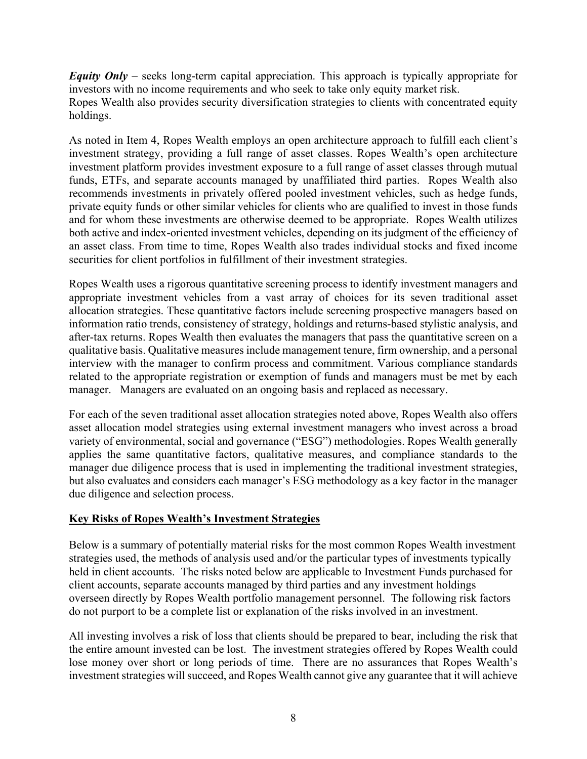*Equity Only* – seeks long-term capital appreciation. This approach is typically appropriate for investors with no income requirements and who seek to take only equity market risk.

Ropes Wealth also provides security diversification strategies to clients with concentrated equity holdings.

As noted in Item 4, Ropes Wealth employs an open architecture approach to fulfill each client's investment strategy, providing a full range of asset classes. Ropes Wealth's open architecture investment platform provides investment exposure to a full range of asset classes through mutual funds, ETFs, and separate accounts managed by unaffiliated third parties. Ropes Wealth also recommends investments in privately offered pooled investment vehicles, such as hedge funds, private equity funds or other similar vehicles for clients who are qualified to invest in those funds and for whom these investments are otherwise deemed to be appropriate. Ropes Wealth utilizes both active and index-oriented investment vehicles, depending on its judgment of the efficiency of an asset class. From time to time, Ropes Wealth also trades individual stocks and fixed income securities for client portfolios in fulfillment of their investment strategies.

Ropes Wealth uses a rigorous quantitative screening process to identify investment managers and appropriate investment vehicles from a vast array of choices for its seven traditional asset allocation strategies. These quantitative factors include screening prospective managers based on information ratio trends, consistency of strategy, holdings and returns-based stylistic analysis, and after-tax returns. Ropes Wealth then evaluates the managers that pass the quantitative screen on a qualitative basis. Qualitative measures include management tenure, firm ownership, and a personal interview with the manager to confirm process and commitment. Various compliance standards related to the appropriate registration or exemption of funds and managers must be met by each manager. Managers are evaluated on an ongoing basis and replaced as necessary.

For each of the seven traditional asset allocation strategies noted above, Ropes Wealth also offers asset allocation model strategies using external investment managers who invest across a broad variety of environmental, social and governance ("ESG") methodologies. Ropes Wealth generally applies the same quantitative factors, qualitative measures, and compliance standards to the manager due diligence process that is used in implementing the traditional investment strategies, but also evaluates and considers each manager's ESG methodology as a key factor in the manager due diligence and selection process.

#### **Key Risks of Ropes Wealth's Investment Strategies**

Below is a summary of potentially material risks for the most common Ropes Wealth investment strategies used, the methods of analysis used and/or the particular types of investments typically held in client accounts. The risks noted below are applicable to Investment Funds purchased for client accounts, separate accounts managed by third parties and any investment holdings overseen directly by Ropes Wealth portfolio management personnel. The following risk factors do not purport to be a complete list or explanation of the risks involved in an investment.

All investing involves a risk of loss that clients should be prepared to bear, including the risk that the entire amount invested can be lost. The investment strategies offered by Ropes Wealth could lose money over short or long periods of time. There are no assurances that Ropes Wealth's investment strategies will succeed, and Ropes Wealth cannot give any guarantee that it will achieve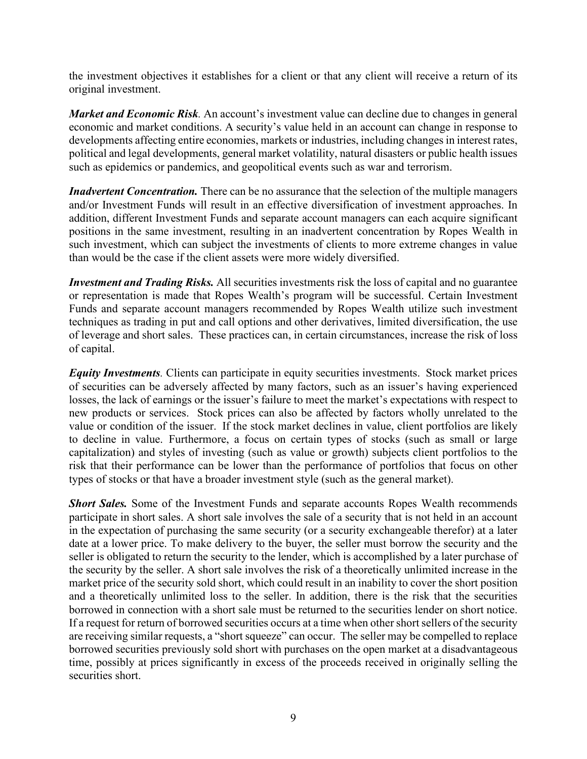the investment objectives it establishes for a client or that any client will receive a return of its original investment.

*Market and Economic Risk.* An account's investment value can decline due to changes in general economic and market conditions. A security's value held in an account can change in response to developments affecting entire economies, markets or industries, including changes in interest rates, political and legal developments, general market volatility, natural disasters or public health issues such as epidemics or pandemics, and geopolitical events such as war and terrorism.

*Inadvertent Concentration.* There can be no assurance that the selection of the multiple managers and/or Investment Funds will result in an effective diversification of investment approaches. In addition, different Investment Funds and separate account managers can each acquire significant positions in the same investment, resulting in an inadvertent concentration by Ropes Wealth in such investment, which can subject the investments of clients to more extreme changes in value than would be the case if the client assets were more widely diversified.

*Investment and Trading Risks.* All securities investments risk the loss of capital and no guarantee or representation is made that Ropes Wealth's program will be successful. Certain Investment Funds and separate account managers recommended by Ropes Wealth utilize such investment techniques as trading in put and call options and other derivatives, limited diversification, the use of leverage and short sales. These practices can, in certain circumstances, increase the risk of loss of capital.

*Equity Investments.* Clients can participate in equity securities investments. Stock market prices of securities can be adversely affected by many factors, such as an issuer's having experienced losses, the lack of earnings or the issuer's failure to meet the market's expectations with respect to new products or services. Stock prices can also be affected by factors wholly unrelated to the value or condition of the issuer. If the stock market declines in value, client portfolios are likely to decline in value. Furthermore, a focus on certain types of stocks (such as small or large capitalization) and styles of investing (such as value or growth) subjects client portfolios to the risk that their performance can be lower than the performance of portfolios that focus on other types of stocks or that have a broader investment style (such as the general market).

*Short Sales.* Some of the Investment Funds and separate accounts Ropes Wealth recommends participate in short sales. A short sale involves the sale of a security that is not held in an account in the expectation of purchasing the same security (or a security exchangeable therefor) at a later date at a lower price. To make delivery to the buyer, the seller must borrow the security and the seller is obligated to return the security to the lender, which is accomplished by a later purchase of the security by the seller. A short sale involves the risk of a theoretically unlimited increase in the market price of the security sold short, which could result in an inability to cover the short position and a theoretically unlimited loss to the seller. In addition, there is the risk that the securities borrowed in connection with a short sale must be returned to the securities lender on short notice. If a request for return of borrowed securities occurs at a time when other short sellers of the security are receiving similar requests, a "short squeeze" can occur. The seller may be compelled to replace borrowed securities previously sold short with purchases on the open market at a disadvantageous time, possibly at prices significantly in excess of the proceeds received in originally selling the securities short.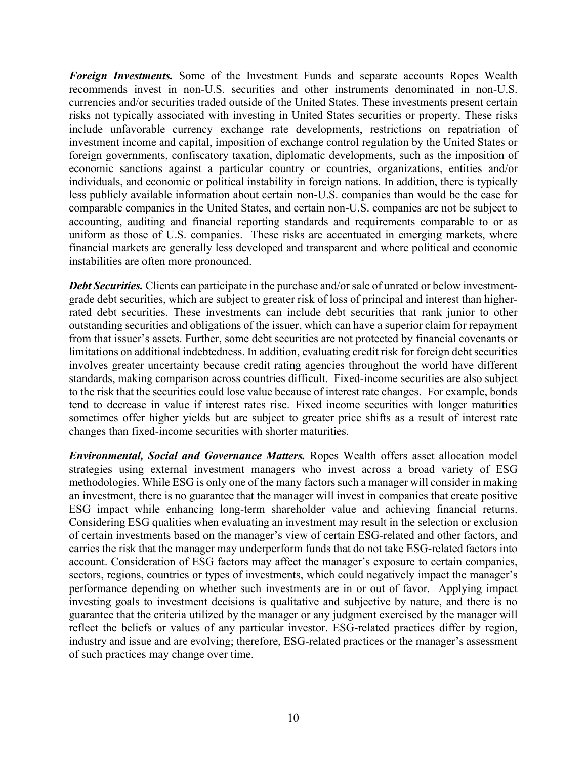*Foreign Investments.* Some of the Investment Funds and separate accounts Ropes Wealth recommends invest in non-U.S. securities and other instruments denominated in non-U.S. currencies and/or securities traded outside of the United States. These investments present certain risks not typically associated with investing in United States securities or property. These risks include unfavorable currency exchange rate developments, restrictions on repatriation of investment income and capital, imposition of exchange control regulation by the United States or foreign governments, confiscatory taxation, diplomatic developments, such as the imposition of economic sanctions against a particular country or countries, organizations, entities and/or individuals, and economic or political instability in foreign nations. In addition, there is typically less publicly available information about certain non-U.S. companies than would be the case for comparable companies in the United States, and certain non-U.S. companies are not be subject to accounting, auditing and financial reporting standards and requirements comparable to or as uniform as those of U.S. companies. These risks are accentuated in emerging markets, where financial markets are generally less developed and transparent and where political and economic instabilities are often more pronounced.

*Debt Securities.* Clients can participate in the purchase and/or sale of unrated or below investmentgrade debt securities, which are subject to greater risk of loss of principal and interest than higherrated debt securities. These investments can include debt securities that rank junior to other outstanding securities and obligations of the issuer, which can have a superior claim for repayment from that issuer's assets. Further, some debt securities are not protected by financial covenants or limitations on additional indebtedness. In addition, evaluating credit risk for foreign debt securities involves greater uncertainty because credit rating agencies throughout the world have different standards, making comparison across countries difficult. Fixed-income securities are also subject to the risk that the securities could lose value because of interest rate changes. For example, bonds tend to decrease in value if interest rates rise. Fixed income securities with longer maturities sometimes offer higher yields but are subject to greater price shifts as a result of interest rate changes than fixed-income securities with shorter maturities.

*Environmental, Social and Governance Matters.* Ropes Wealth offers asset allocation model strategies using external investment managers who invest across a broad variety of ESG methodologies. While ESG is only one of the many factors such a manager will consider in making an investment, there is no guarantee that the manager will invest in companies that create positive ESG impact while enhancing long-term shareholder value and achieving financial returns. Considering ESG qualities when evaluating an investment may result in the selection or exclusion of certain investments based on the manager's view of certain ESG-related and other factors, and carries the risk that the manager may underperform funds that do not take ESG-related factors into account. Consideration of ESG factors may affect the manager's exposure to certain companies, sectors, regions, countries or types of investments, which could negatively impact the manager's performance depending on whether such investments are in or out of favor. Applying impact investing goals to investment decisions is qualitative and subjective by nature, and there is no guarantee that the criteria utilized by the manager or any judgment exercised by the manager will reflect the beliefs or values of any particular investor. ESG-related practices differ by region, industry and issue and are evolving; therefore, ESG-related practices or the manager's assessment of such practices may change over time.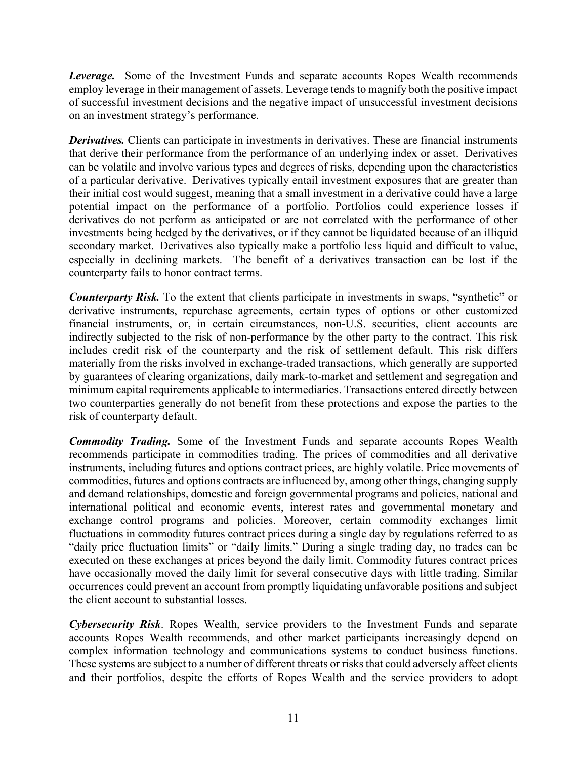*Leverage.* Some of the Investment Funds and separate accounts Ropes Wealth recommends employ leverage in their management of assets. Leverage tends to magnify both the positive impact of successful investment decisions and the negative impact of unsuccessful investment decisions on an investment strategy's performance.

*Derivatives.* Clients can participate in investments in derivatives. These are financial instruments that derive their performance from the performance of an underlying index or asset. Derivatives can be volatile and involve various types and degrees of risks, depending upon the characteristics of a particular derivative. Derivatives typically entail investment exposures that are greater than their initial cost would suggest, meaning that a small investment in a derivative could have a large potential impact on the performance of a portfolio. Portfolios could experience losses if derivatives do not perform as anticipated or are not correlated with the performance of other investments being hedged by the derivatives, or if they cannot be liquidated because of an illiquid secondary market. Derivatives also typically make a portfolio less liquid and difficult to value, especially in declining markets. The benefit of a derivatives transaction can be lost if the counterparty fails to honor contract terms.

*Counterparty Risk.* To the extent that clients participate in investments in swaps, "synthetic" or derivative instruments, repurchase agreements, certain types of options or other customized financial instruments, or, in certain circumstances, non-U.S. securities, client accounts are indirectly subjected to the risk of non-performance by the other party to the contract. This risk includes credit risk of the counterparty and the risk of settlement default. This risk differs materially from the risks involved in exchange-traded transactions, which generally are supported by guarantees of clearing organizations, daily mark-to-market and settlement and segregation and minimum capital requirements applicable to intermediaries. Transactions entered directly between two counterparties generally do not benefit from these protections and expose the parties to the risk of counterparty default.

*Commodity Trading.* Some of the Investment Funds and separate accounts Ropes Wealth recommends participate in commodities trading. The prices of commodities and all derivative instruments, including futures and options contract prices, are highly volatile. Price movements of commodities, futures and options contracts are influenced by, among other things, changing supply and demand relationships, domestic and foreign governmental programs and policies, national and international political and economic events, interest rates and governmental monetary and exchange control programs and policies. Moreover, certain commodity exchanges limit fluctuations in commodity futures contract prices during a single day by regulations referred to as "daily price fluctuation limits" or "daily limits." During a single trading day, no trades can be executed on these exchanges at prices beyond the daily limit. Commodity futures contract prices have occasionally moved the daily limit for several consecutive days with little trading. Similar occurrences could prevent an account from promptly liquidating unfavorable positions and subject the client account to substantial losses.

*Cybersecurity Risk*. Ropes Wealth, service providers to the Investment Funds and separate accounts Ropes Wealth recommends, and other market participants increasingly depend on complex information technology and communications systems to conduct business functions. These systems are subject to a number of different threats or risks that could adversely affect clients and their portfolios, despite the efforts of Ropes Wealth and the service providers to adopt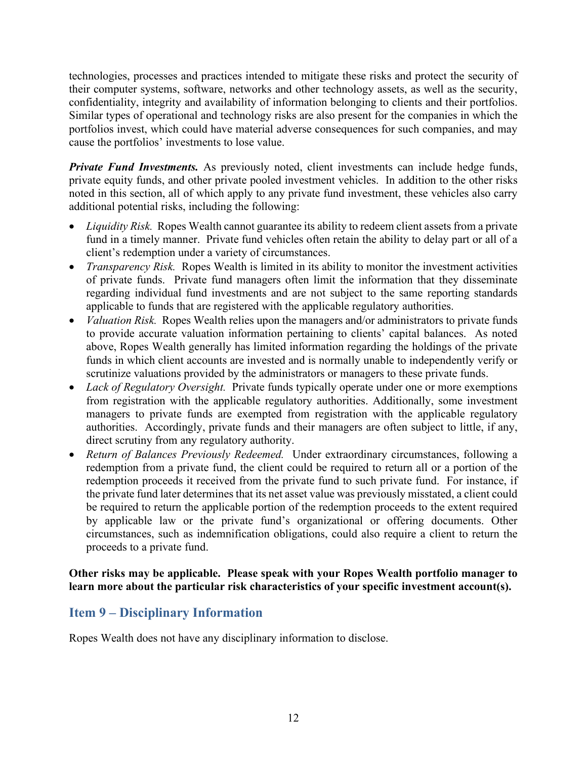technologies, processes and practices intended to mitigate these risks and protect the security of their computer systems, software, networks and other technology assets, as well as the security, confidentiality, integrity and availability of information belonging to clients and their portfolios. Similar types of operational and technology risks are also present for the companies in which the portfolios invest, which could have material adverse consequences for such companies, and may cause the portfolios' investments to lose value.

*Private Fund Investments.* As previously noted, client investments can include hedge funds, private equity funds, and other private pooled investment vehicles. In addition to the other risks noted in this section, all of which apply to any private fund investment, these vehicles also carry additional potential risks, including the following:

- *Liquidity Risk.* Ropes Wealth cannot guarantee its ability to redeem client assets from a private fund in a timely manner. Private fund vehicles often retain the ability to delay part or all of a client's redemption under a variety of circumstances.
- *Transparency Risk.* Ropes Wealth is limited in its ability to monitor the investment activities of private funds. Private fund managers often limit the information that they disseminate regarding individual fund investments and are not subject to the same reporting standards applicable to funds that are registered with the applicable regulatory authorities.
- *Valuation Risk.* Ropes Wealth relies upon the managers and/or administrators to private funds to provide accurate valuation information pertaining to clients' capital balances. As noted above, Ropes Wealth generally has limited information regarding the holdings of the private funds in which client accounts are invested and is normally unable to independently verify or scrutinize valuations provided by the administrators or managers to these private funds.
- *Lack of Regulatory Oversight.* Private funds typically operate under one or more exemptions from registration with the applicable regulatory authorities. Additionally, some investment managers to private funds are exempted from registration with the applicable regulatory authorities. Accordingly, private funds and their managers are often subject to little, if any, direct scrutiny from any regulatory authority.
- *Return of Balances Previously Redeemed.* Under extraordinary circumstances, following a redemption from a private fund, the client could be required to return all or a portion of the redemption proceeds it received from the private fund to such private fund. For instance, if the private fund later determines that its net asset value was previously misstated, a client could be required to return the applicable portion of the redemption proceeds to the extent required by applicable law or the private fund's organizational or offering documents. Other circumstances, such as indemnification obligations, could also require a client to return the proceeds to a private fund.

#### **Other risks may be applicable. Please speak with your Ropes Wealth portfolio manager to learn more about the particular risk characteristics of your specific investment account(s).**

## **Item 9 – Disciplinary Information**

Ropes Wealth does not have any disciplinary information to disclose.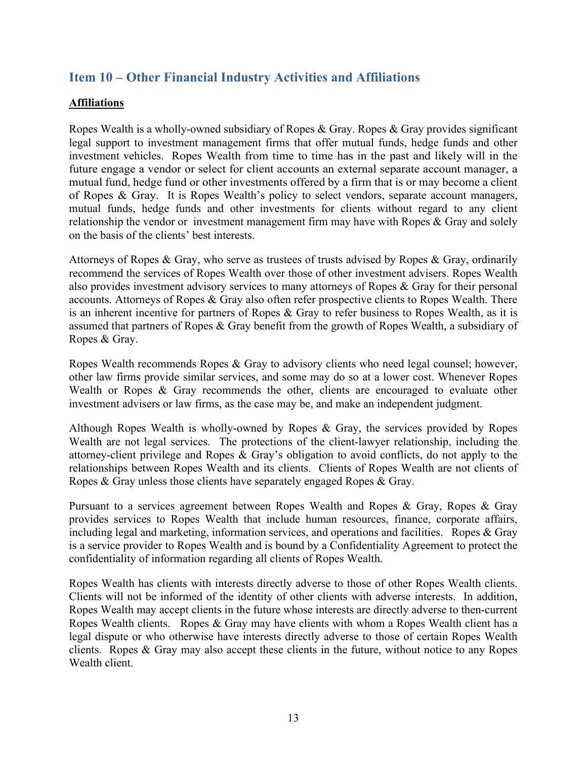## **Item 10 – Other Financial Industry Activities and Affiliations**

#### **Affiliations**

Ropes Wealth is a wholly-owned subsidiary of Ropes & Gray. Ropes & Gray provides significant legal support to investment management firms that offer mutual funds, hedge funds and other investment vehicles. Ropes Wealth from time to time has in the past and likely will in the future engage a vendor or select for client accounts an external separate account manager, a mutual fund, hedge fund or other investments offered by a firm that is or may become a client of Ropes & Gray. It is Ropes Wealth's policy to select vendors, separate account managers, mutual funds, hedge funds and other investments for clients without regard to any client relationship the vendor or investment management firm may have with Ropes & Gray and solely on the basis of the clients' best interests.

Attorneys of Ropes & Gray, who serve as trustees of trusts advised by Ropes & Gray, ordinarily recommend the services of Ropes Wealth over those of other investment advisers. Ropes Wealth also provides investment advisory services to many attorneys of Ropes & Gray for their personal accounts. Attorneys of Ropes & Gray also often refer prospective clients to Ropes Wealth. There is an inherent incentive for partners of Ropes & Gray to refer business to Ropes Wealth, as it is assumed that partners of Ropes & Gray benefit from the growth of Ropes Wealth, a subsidiary of Ropes & Gray.

Ropes Wealth recommends Ropes & Gray to advisory clients who need legal counsel; however, other law firms provide similar services, and some may do so at a lower cost. Whenever Ropes Wealth or Ropes & Gray recommends the other, clients are encouraged to evaluate other investment advisers or law firms, as the case may be, and make an independent judgment.

Although Ropes Wealth is wholly-owned by Ropes & Gray, the services provided by Ropes Wealth are not legal services. The protections of the client-lawyer relationship, including the attorney-client privilege and Ropes & Gray's obligation to avoid conflicts, do not apply to the relationships between Ropes Wealth and its clients. Clients of Ropes Wealth are not clients of Ropes & Gray unless those clients have separately engaged Ropes & Gray.

Pursuant to a services agreement between Ropes Wealth and Ropes & Gray, Ropes & Gray provides services to Ropes Wealth that include human resources, finance, corporate affairs, including legal and marketing, information services, and operations and facilities. Ropes & Gray is a service provider to Ropes Wealth and is bound by a Confidentiality Agreement to protect the confidentiality of information regarding all clients of Ropes Wealth.

Ropes Wealth has clients with interests directly adverse to those of other Ropes Wealth clients. Clients will not be informed of the identity of other clients with adverse interests. In addition, Ropes Wealth may accept clients in the future whose interests are directly adverse to then-current Ropes Wealth clients. Ropes & Gray may have clients with whom a Ropes Wealth client has a legal dispute or who otherwise have interests directly adverse to those of certain Ropes Wealth clients. Ropes & Gray may also accept these clients in the future, without notice to any Ropes Wealth client.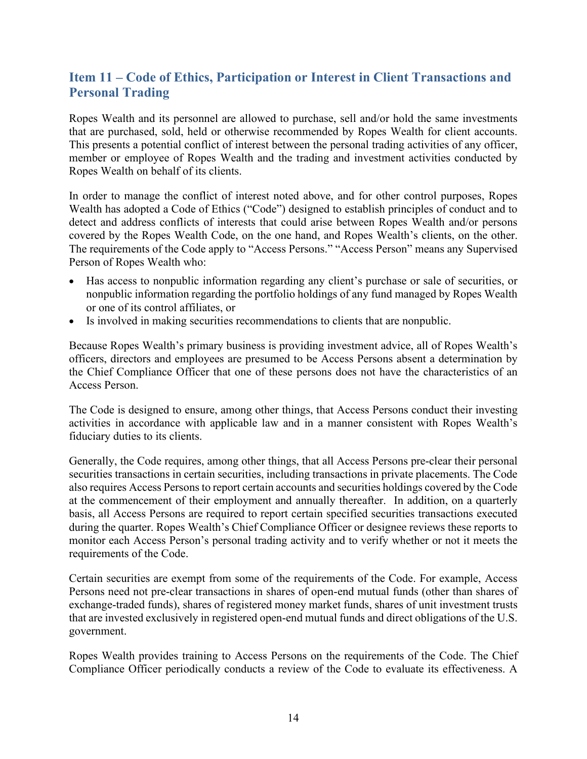## **Item 11 – Code of Ethics, Participation or Interest in Client Transactions and Personal Trading**

Ropes Wealth and its personnel are allowed to purchase, sell and/or hold the same investments that are purchased, sold, held or otherwise recommended by Ropes Wealth for client accounts. This presents a potential conflict of interest between the personal trading activities of any officer, member or employee of Ropes Wealth and the trading and investment activities conducted by Ropes Wealth on behalf of its clients.

In order to manage the conflict of interest noted above, and for other control purposes, Ropes Wealth has adopted a Code of Ethics ("Code") designed to establish principles of conduct and to detect and address conflicts of interests that could arise between Ropes Wealth and/or persons covered by the Ropes Wealth Code, on the one hand, and Ropes Wealth's clients, on the other. The requirements of the Code apply to "Access Persons." "Access Person" means any Supervised Person of Ropes Wealth who:

- Has access to nonpublic information regarding any client's purchase or sale of securities, or nonpublic information regarding the portfolio holdings of any fund managed by Ropes Wealth or one of its control affiliates, or
- Is involved in making securities recommendations to clients that are nonpublic.

Because Ropes Wealth's primary business is providing investment advice, all of Ropes Wealth's officers, directors and employees are presumed to be Access Persons absent a determination by the Chief Compliance Officer that one of these persons does not have the characteristics of an Access Person.

The Code is designed to ensure, among other things, that Access Persons conduct their investing activities in accordance with applicable law and in a manner consistent with Ropes Wealth's fiduciary duties to its clients.

Generally, the Code requires, among other things, that all Access Persons pre-clear their personal securities transactions in certain securities, including transactions in private placements. The Code also requires Access Persons to report certain accounts and securities holdings covered by the Code at the commencement of their employment and annually thereafter. In addition, on a quarterly basis, all Access Persons are required to report certain specified securities transactions executed during the quarter. Ropes Wealth's Chief Compliance Officer or designee reviews these reports to monitor each Access Person's personal trading activity and to verify whether or not it meets the requirements of the Code.

Certain securities are exempt from some of the requirements of the Code. For example, Access Persons need not pre-clear transactions in shares of open-end mutual funds (other than shares of exchange-traded funds), shares of registered money market funds, shares of unit investment trusts that are invested exclusively in registered open-end mutual funds and direct obligations of the U.S. government.

Ropes Wealth provides training to Access Persons on the requirements of the Code. The Chief Compliance Officer periodically conducts a review of the Code to evaluate its effectiveness. A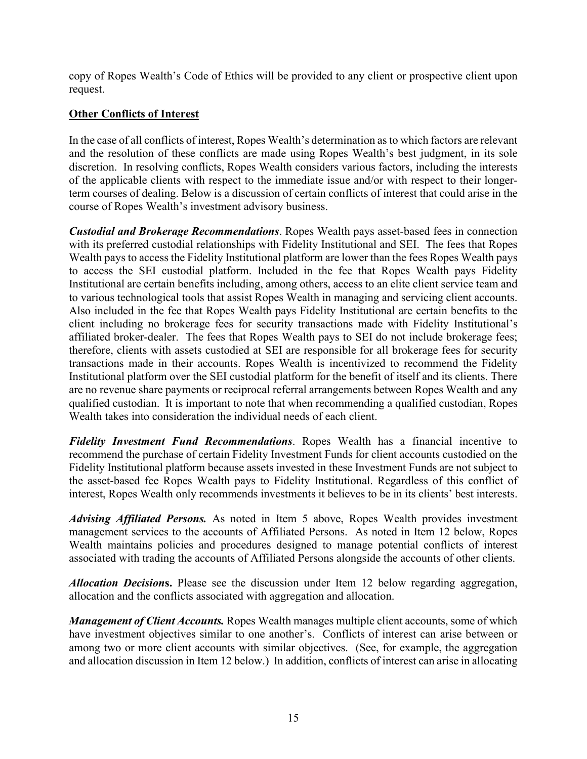copy of Ropes Wealth's Code of Ethics will be provided to any client or prospective client upon request.

#### **Other Conflicts of Interest**

In the case of all conflicts of interest, Ropes Wealth's determination as to which factors are relevant and the resolution of these conflicts are made using Ropes Wealth's best judgment, in its sole discretion. In resolving conflicts, Ropes Wealth considers various factors, including the interests of the applicable clients with respect to the immediate issue and/or with respect to their longerterm courses of dealing. Below is a discussion of certain conflicts of interest that could arise in the course of Ropes Wealth's investment advisory business.

*Custodial and Brokerage Recommendations*. Ropes Wealth pays asset-based fees in connection with its preferred custodial relationships with Fidelity Institutional and SEI. The fees that Ropes Wealth pays to access the Fidelity Institutional platform are lower than the fees Ropes Wealth pays to access the SEI custodial platform. Included in the fee that Ropes Wealth pays Fidelity Institutional are certain benefits including, among others, access to an elite client service team and to various technological tools that assist Ropes Wealth in managing and servicing client accounts. Also included in the fee that Ropes Wealth pays Fidelity Institutional are certain benefits to the client including no brokerage fees for security transactions made with Fidelity Institutional's affiliated broker-dealer. The fees that Ropes Wealth pays to SEI do not include brokerage fees; therefore, clients with assets custodied at SEI are responsible for all brokerage fees for security transactions made in their accounts. Ropes Wealth is incentivized to recommend the Fidelity Institutional platform over the SEI custodial platform for the benefit of itself and its clients. There are no revenue share payments or reciprocal referral arrangements between Ropes Wealth and any qualified custodian. It is important to note that when recommending a qualified custodian, Ropes Wealth takes into consideration the individual needs of each client.

*Fidelity Investment Fund Recommendations*. Ropes Wealth has a financial incentive to recommend the purchase of certain Fidelity Investment Funds for client accounts custodied on the Fidelity Institutional platform because assets invested in these Investment Funds are not subject to the asset-based fee Ropes Wealth pays to Fidelity Institutional. Regardless of this conflict of interest, Ropes Wealth only recommends investments it believes to be in its clients' best interests.

*Advising Affiliated Persons.* As noted in Item 5 above, Ropes Wealth provides investment management services to the accounts of Affiliated Persons. As noted in Item 12 below, Ropes Wealth maintains policies and procedures designed to manage potential conflicts of interest associated with trading the accounts of Affiliated Persons alongside the accounts of other clients.

*Allocation Decision***s.** Please see the discussion under Item 12 below regarding aggregation, allocation and the conflicts associated with aggregation and allocation.

*Management of Client Accounts.* Ropes Wealth manages multiple client accounts, some of which have investment objectives similar to one another's. Conflicts of interest can arise between or among two or more client accounts with similar objectives. (See, for example, the aggregation and allocation discussion in Item 12 below.) In addition, conflicts of interest can arise in allocating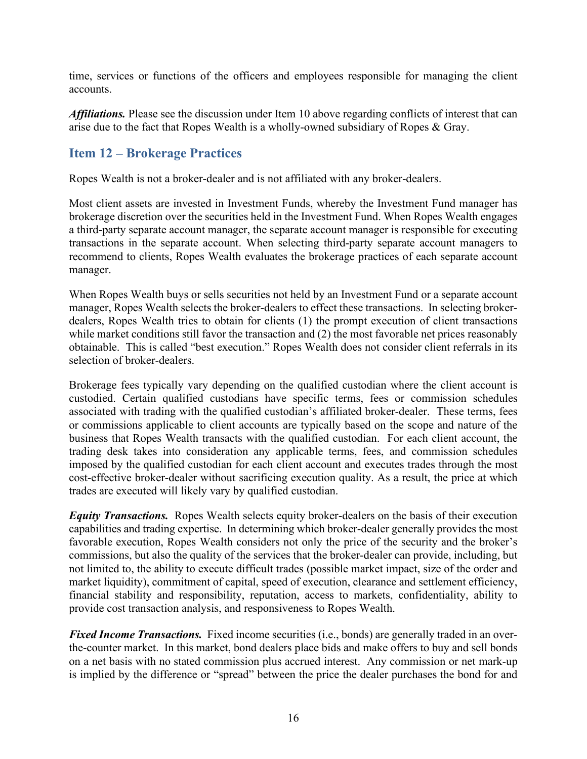time, services or functions of the officers and employees responsible for managing the client accounts.

*Affiliations.* Please see the discussion under Item 10 above regarding conflicts of interest that can arise due to the fact that Ropes Wealth is a wholly-owned subsidiary of Ropes & Gray.

## **Item 12 – Brokerage Practices**

Ropes Wealth is not a broker-dealer and is not affiliated with any broker-dealers.

Most client assets are invested in Investment Funds, whereby the Investment Fund manager has brokerage discretion over the securities held in the Investment Fund. When Ropes Wealth engages a third-party separate account manager, the separate account manager is responsible for executing transactions in the separate account. When selecting third-party separate account managers to recommend to clients, Ropes Wealth evaluates the brokerage practices of each separate account manager.

When Ropes Wealth buys or sells securities not held by an Investment Fund or a separate account manager, Ropes Wealth selects the broker-dealers to effect these transactions. In selecting brokerdealers, Ropes Wealth tries to obtain for clients (1) the prompt execution of client transactions while market conditions still favor the transaction and (2) the most favorable net prices reasonably obtainable. This is called "best execution." Ropes Wealth does not consider client referrals in its selection of broker-dealers.

Brokerage fees typically vary depending on the qualified custodian where the client account is custodied. Certain qualified custodians have specific terms, fees or commission schedules associated with trading with the qualified custodian's affiliated broker-dealer. These terms, fees or commissions applicable to client accounts are typically based on the scope and nature of the business that Ropes Wealth transacts with the qualified custodian. For each client account, the trading desk takes into consideration any applicable terms, fees, and commission schedules imposed by the qualified custodian for each client account and executes trades through the most cost-effective broker-dealer without sacrificing execution quality. As a result, the price at which trades are executed will likely vary by qualified custodian.

*Equity Transactions.* Ropes Wealth selects equity broker-dealers on the basis of their execution capabilities and trading expertise. In determining which broker-dealer generally provides the most favorable execution, Ropes Wealth considers not only the price of the security and the broker's commissions, but also the quality of the services that the broker-dealer can provide, including, but not limited to, the ability to execute difficult trades (possible market impact, size of the order and market liquidity), commitment of capital, speed of execution, clearance and settlement efficiency, financial stability and responsibility, reputation, access to markets, confidentiality, ability to provide cost transaction analysis, and responsiveness to Ropes Wealth.

*Fixed Income Transactions.* Fixed income securities (i.e., bonds) are generally traded in an overthe-counter market. In this market, bond dealers place bids and make offers to buy and sell bonds on a net basis with no stated commission plus accrued interest. Any commission or net mark-up is implied by the difference or "spread" between the price the dealer purchases the bond for and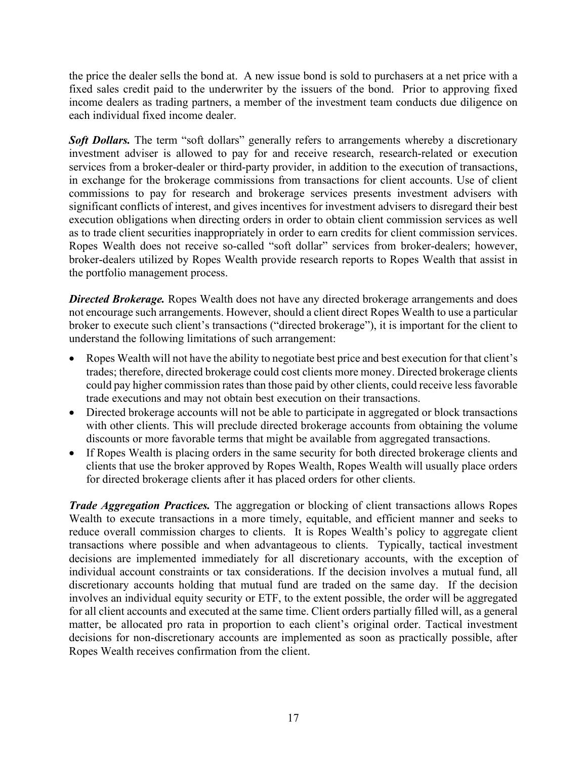the price the dealer sells the bond at. A new issue bond is sold to purchasers at a net price with a fixed sales credit paid to the underwriter by the issuers of the bond. Prior to approving fixed income dealers as trading partners, a member of the investment team conducts due diligence on each individual fixed income dealer.

**Soft Dollars.** The term "soft dollars" generally refers to arrangements whereby a discretionary investment adviser is allowed to pay for and receive research, research-related or execution services from a broker-dealer or third-party provider, in addition to the execution of transactions, in exchange for the brokerage commissions from transactions for client accounts. Use of client commissions to pay for research and brokerage services presents investment advisers with significant conflicts of interest, and gives incentives for investment advisers to disregard their best execution obligations when directing orders in order to obtain client commission services as well as to trade client securities inappropriately in order to earn credits for client commission services. Ropes Wealth does not receive so-called "soft dollar" services from broker-dealers; however, broker-dealers utilized by Ropes Wealth provide research reports to Ropes Wealth that assist in the portfolio management process.

**Directed Brokerage.** Ropes Wealth does not have any directed brokerage arrangements and does not encourage such arrangements. However, should a client direct Ropes Wealth to use a particular broker to execute such client's transactions ("directed brokerage"), it is important for the client to understand the following limitations of such arrangement:

- Ropes Wealth will not have the ability to negotiate best price and best execution for that client's trades; therefore, directed brokerage could cost clients more money. Directed brokerage clients could pay higher commission rates than those paid by other clients, could receive less favorable trade executions and may not obtain best execution on their transactions.
- Directed brokerage accounts will not be able to participate in aggregated or block transactions with other clients. This will preclude directed brokerage accounts from obtaining the volume discounts or more favorable terms that might be available from aggregated transactions.
- If Ropes Wealth is placing orders in the same security for both directed brokerage clients and clients that use the broker approved by Ropes Wealth, Ropes Wealth will usually place orders for directed brokerage clients after it has placed orders for other clients.

*Trade Aggregation Practices.* The aggregation or blocking of client transactions allows Ropes Wealth to execute transactions in a more timely, equitable, and efficient manner and seeks to reduce overall commission charges to clients. It is Ropes Wealth's policy to aggregate client transactions where possible and when advantageous to clients. Typically, tactical investment decisions are implemented immediately for all discretionary accounts, with the exception of individual account constraints or tax considerations. If the decision involves a mutual fund, all discretionary accounts holding that mutual fund are traded on the same day. If the decision involves an individual equity security or ETF, to the extent possible, the order will be aggregated for all client accounts and executed at the same time. Client orders partially filled will, as a general matter, be allocated pro rata in proportion to each client's original order. Tactical investment decisions for non-discretionary accounts are implemented as soon as practically possible, after Ropes Wealth receives confirmation from the client.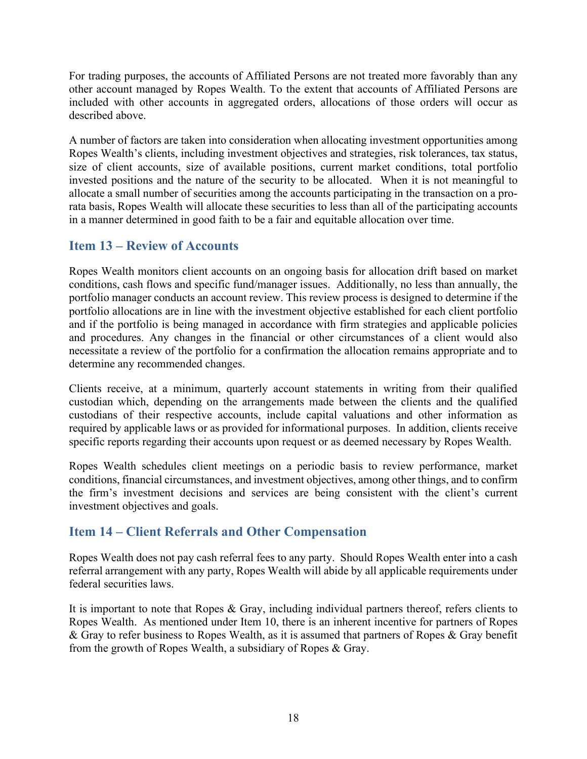For trading purposes, the accounts of Affiliated Persons are not treated more favorably than any other account managed by Ropes Wealth. To the extent that accounts of Affiliated Persons are included with other accounts in aggregated orders, allocations of those orders will occur as described above.

A number of factors are taken into consideration when allocating investment opportunities among Ropes Wealth's clients, including investment objectives and strategies, risk tolerances, tax status, size of client accounts, size of available positions, current market conditions, total portfolio invested positions and the nature of the security to be allocated. When it is not meaningful to allocate a small number of securities among the accounts participating in the transaction on a prorata basis, Ropes Wealth will allocate these securities to less than all of the participating accounts in a manner determined in good faith to be a fair and equitable allocation over time.

## **Item 13 – Review of Accounts**

Ropes Wealth monitors client accounts on an ongoing basis for allocation drift based on market conditions, cash flows and specific fund/manager issues. Additionally, no less than annually, the portfolio manager conducts an account review. This review process is designed to determine if the portfolio allocations are in line with the investment objective established for each client portfolio and if the portfolio is being managed in accordance with firm strategies and applicable policies and procedures. Any changes in the financial or other circumstances of a client would also necessitate a review of the portfolio for a confirmation the allocation remains appropriate and to determine any recommended changes.

Clients receive, at a minimum, quarterly account statements in writing from their qualified custodian which, depending on the arrangements made between the clients and the qualified custodians of their respective accounts, include capital valuations and other information as required by applicable laws or as provided for informational purposes. In addition, clients receive specific reports regarding their accounts upon request or as deemed necessary by Ropes Wealth.

Ropes Wealth schedules client meetings on a periodic basis to review performance, market conditions, financial circumstances, and investment objectives, among other things, and to confirm the firm's investment decisions and services are being consistent with the client's current investment objectives and goals.

## **Item 14 – Client Referrals and Other Compensation**

Ropes Wealth does not pay cash referral fees to any party. Should Ropes Wealth enter into a cash referral arrangement with any party, Ropes Wealth will abide by all applicable requirements under federal securities laws.

It is important to note that Ropes & Gray, including individual partners thereof, refers clients to Ropes Wealth. As mentioned under Item 10, there is an inherent incentive for partners of Ropes & Gray to refer business to Ropes Wealth, as it is assumed that partners of Ropes & Gray benefit from the growth of Ropes Wealth, a subsidiary of Ropes & Gray.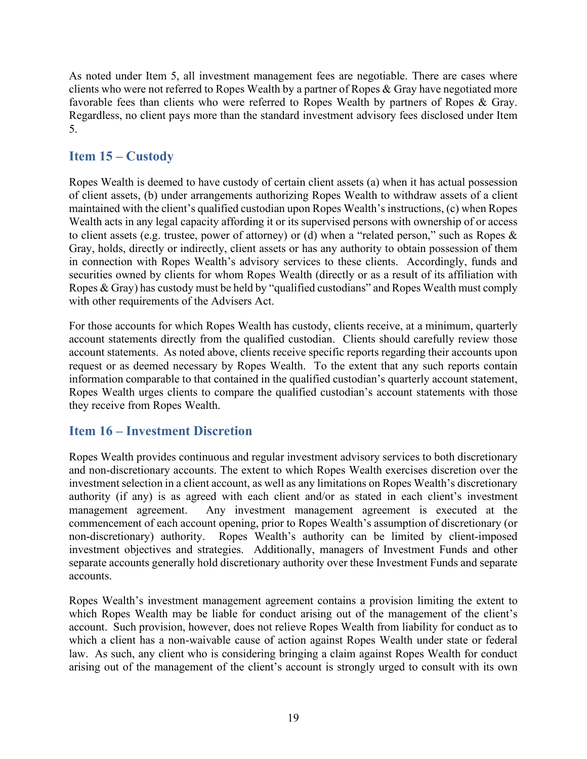As noted under Item 5, all investment management fees are negotiable. There are cases where clients who were not referred to Ropes Wealth by a partner of Ropes & Gray have negotiated more favorable fees than clients who were referred to Ropes Wealth by partners of Ropes & Gray. Regardless, no client pays more than the standard investment advisory fees disclosed under Item 5.

## **Item 15 – Custody**

Ropes Wealth is deemed to have custody of certain client assets (a) when it has actual possession of client assets, (b) under arrangements authorizing Ropes Wealth to withdraw assets of a client maintained with the client's qualified custodian upon Ropes Wealth's instructions, (c) when Ropes Wealth acts in any legal capacity affording it or its supervised persons with ownership of or access to client assets (e.g. trustee, power of attorney) or (d) when a "related person," such as Ropes & Gray, holds, directly or indirectly, client assets or has any authority to obtain possession of them in connection with Ropes Wealth's advisory services to these clients. Accordingly, funds and securities owned by clients for whom Ropes Wealth (directly or as a result of its affiliation with Ropes & Gray) has custody must be held by "qualified custodians" and Ropes Wealth must comply with other requirements of the Advisers Act.

For those accounts for which Ropes Wealth has custody, clients receive, at a minimum, quarterly account statements directly from the qualified custodian. Clients should carefully review those account statements. As noted above, clients receive specific reports regarding their accounts upon request or as deemed necessary by Ropes Wealth. To the extent that any such reports contain information comparable to that contained in the qualified custodian's quarterly account statement, Ropes Wealth urges clients to compare the qualified custodian's account statements with those they receive from Ropes Wealth.

## **Item 16 – Investment Discretion**

Ropes Wealth provides continuous and regular investment advisory services to both discretionary and non-discretionary accounts. The extent to which Ropes Wealth exercises discretion over the investment selection in a client account, as well as any limitations on Ropes Wealth's discretionary authority (if any) is as agreed with each client and/or as stated in each client's investment management agreement. Any investment management agreement is executed at the commencement of each account opening, prior to Ropes Wealth's assumption of discretionary (or non-discretionary) authority. Ropes Wealth's authority can be limited by client-imposed investment objectives and strategies. Additionally, managers of Investment Funds and other separate accounts generally hold discretionary authority over these Investment Funds and separate accounts.

Ropes Wealth's investment management agreement contains a provision limiting the extent to which Ropes Wealth may be liable for conduct arising out of the management of the client's account. Such provision, however, does not relieve Ropes Wealth from liability for conduct as to which a client has a non-waivable cause of action against Ropes Wealth under state or federal law. As such, any client who is considering bringing a claim against Ropes Wealth for conduct arising out of the management of the client's account is strongly urged to consult with its own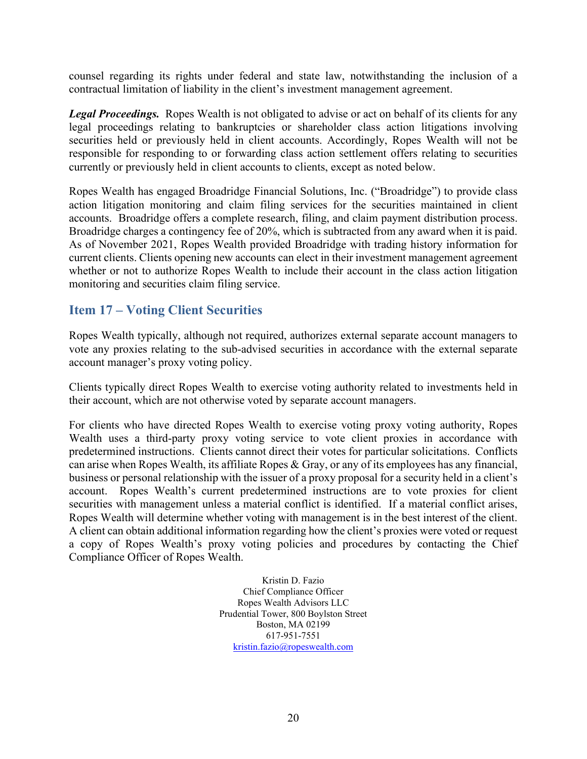counsel regarding its rights under federal and state law, notwithstanding the inclusion of a contractual limitation of liability in the client's investment management agreement.

*Legal Proceedings.* Ropes Wealth is not obligated to advise or act on behalf of its clients for any legal proceedings relating to bankruptcies or shareholder class action litigations involving securities held or previously held in client accounts. Accordingly, Ropes Wealth will not be responsible for responding to or forwarding class action settlement offers relating to securities currently or previously held in client accounts to clients, except as noted below.

Ropes Wealth has engaged Broadridge Financial Solutions, Inc. ("Broadridge") to provide class action litigation monitoring and claim filing services for the securities maintained in client accounts. Broadridge offers a complete research, filing, and claim payment distribution process. Broadridge charges a contingency fee of 20%, which is subtracted from any award when it is paid. As of November 2021, Ropes Wealth provided Broadridge with trading history information for current clients. Clients opening new accounts can elect in their investment management agreement whether or not to authorize Ropes Wealth to include their account in the class action litigation monitoring and securities claim filing service.

## **Item 17 – Voting Client Securities**

Ropes Wealth typically, although not required, authorizes external separate account managers to vote any proxies relating to the sub-advised securities in accordance with the external separate account manager's proxy voting policy.

Clients typically direct Ropes Wealth to exercise voting authority related to investments held in their account, which are not otherwise voted by separate account managers.

For clients who have directed Ropes Wealth to exercise voting proxy voting authority, Ropes Wealth uses a third-party proxy voting service to vote client proxies in accordance with predetermined instructions. Clients cannot direct their votes for particular solicitations. Conflicts can arise when Ropes Wealth, its affiliate Ropes & Gray, or any of its employees has any financial, business or personal relationship with the issuer of a proxy proposal for a security held in a client's account. Ropes Wealth's current predetermined instructions are to vote proxies for client securities with management unless a material conflict is identified. If a material conflict arises, Ropes Wealth will determine whether voting with management is in the best interest of the client. A client can obtain additional information regarding how the client's proxies were voted or request a copy of Ropes Wealth's proxy voting policies and procedures by contacting the Chief Compliance Officer of Ropes Wealth.

> Kristin D. Fazio Chief Compliance Officer Ropes Wealth Advisors LLC Prudential Tower, 800 Boylston Street Boston, MA 02199 617-951-7551 [kristin.fazio@ropeswealth.com](mailto:kristin.fazio@ropeswealth.com)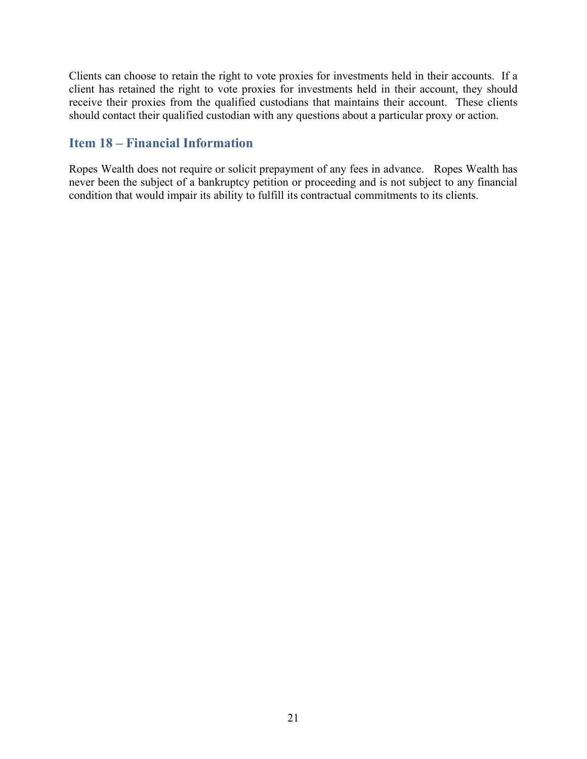Clients can choose to retain the right to vote proxies for investments held in their accounts. If a client has retained the right to vote proxies for investments held in their account, they should receive their proxies from the qualified custodians that maintains their account. These clients should contact their qualified custodian with any questions about a particular proxy or action.

## **Item 18 – Financial Information**

Ropes Wealth does not require or solicit prepayment of any fees in advance. Ropes Wealth has never been the subject of a bankruptcy petition or proceeding and is not subject to any financial condition that would impair its ability to fulfill its contractual commitments to its clients.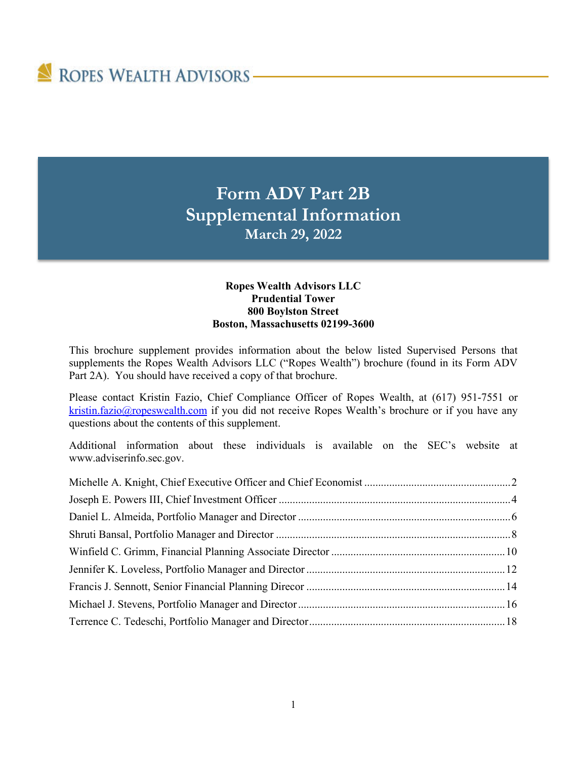# ROPES WEALTH ADVISORS-

## **Form ADV Part 2B Supplemental Information March 29, 2022**

#### **Ropes Wealth Advisors LLC Prudential Tower 800 Boylston Street Boston, Massachusetts 02199-3600**

This brochure supplement provides information about the below listed Supervised Persons that supplements the Ropes Wealth Advisors LLC ("Ropes Wealth") brochure (found in its Form ADV Part 2A). You should have received a copy of that brochure.

Please contact Kristin Fazio, Chief Compliance Officer of Ropes Wealth, at (617) 951-7551 or [kristin.fazio@ropeswealth.com](mailto:kristin.fazio@ropeswealth.com) if you did not receive Ropes Wealth's brochure or if you have any questions about the contents of this supplement.

Additional information about these individuals is available on the SEC's website at [www.adviserinfo.sec.gov.](http://www.adviserinfo.sec.gov/)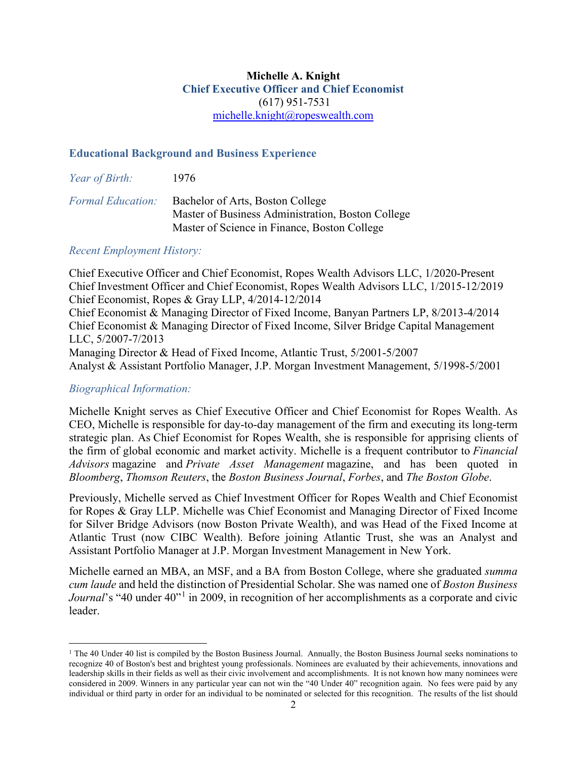#### **Michelle A. Knight Chief Executive Officer and Chief Economist** (617) 951-7531 [michelle.knight@ropeswealth.com](mailto:michelle.knight@ropeswealth.com)

#### **Educational Background and Business Experience**

| Year of Birth:           | 1976                                                                                                                                  |
|--------------------------|---------------------------------------------------------------------------------------------------------------------------------------|
| <b>Formal Education:</b> | Bachelor of Arts, Boston College<br>Master of Business Administration, Boston College<br>Master of Science in Finance, Boston College |

#### *Recent Employment History:*

Chief Executive Officer and Chief Economist, Ropes Wealth Advisors LLC, 1/2020-Present Chief Investment Officer and Chief Economist, Ropes Wealth Advisors LLC, 1/2015-12/2019 Chief Economist, Ropes & Gray LLP, 4/2014-12/2014 Chief Economist & Managing Director of Fixed Income, Banyan Partners LP, 8/2013-4/2014 Chief Economist & Managing Director of Fixed Income, Silver Bridge Capital Management LLC, 5/2007-7/2013 Managing Director & Head of Fixed Income, Atlantic Trust, 5/2001-5/2007 Analyst & Assistant Portfolio Manager, J.P. Morgan Investment Management, 5/1998-5/2001

#### *Biographical Information:*

Michelle Knight serves as Chief Executive Officer and Chief Economist for Ropes Wealth. As CEO, Michelle is responsible for day-to-day management of the firm and executing its long-term strategic plan. As Chief Economist for Ropes Wealth, she is responsible for apprising clients of the firm of global economic and market activity. Michelle is a frequent contributor to *Financial Advisors* magazine and *Private Asset Management* magazine, and has been quoted in *Bloomberg*, *Thomson Reuters*, the *Boston Business Journal*, *Forbes*, and *The Boston Globe*.

Previously, Michelle served as Chief Investment Officer for Ropes Wealth and Chief Economist for Ropes & Gray LLP. Michelle was Chief Economist and Managing Director of Fixed Income for Silver Bridge Advisors (now Boston Private Wealth), and was Head of the Fixed Income at Atlantic Trust (now CIBC Wealth). Before joining Atlantic Trust, she was an Analyst and Assistant Portfolio Manager at J.P. Morgan Investment Management in New York.

Michelle earned an MBA, an MSF, and a BA from Boston College, where she graduated *summa cum laude* and held the distinction of Presidential Scholar. She was named one of *Boston Business Journal*'s "40 under 40"<sup>[1](#page-25-0)</sup> in 2009, in recognition of her accomplishments as a corporate and civic leader.

<span id="page-25-0"></span><sup>&</sup>lt;sup>1</sup> The 40 Under 40 list is compiled by the Boston Business Journal. Annually, the Boston Business Journal seeks nominations to recognize 40 of Boston's best and brightest young professionals. Nominees are evaluated by their achievements, innovations and leadership skills in their fields as well as their civic involvement and accomplishments. It is not known how many nominees were considered in 2009. Winners in any particular year can not win the "40 Under 40" recognition again. No fees were paid by any individual or third party in order for an individual to be nominated or selected for this recognition. The results of the list should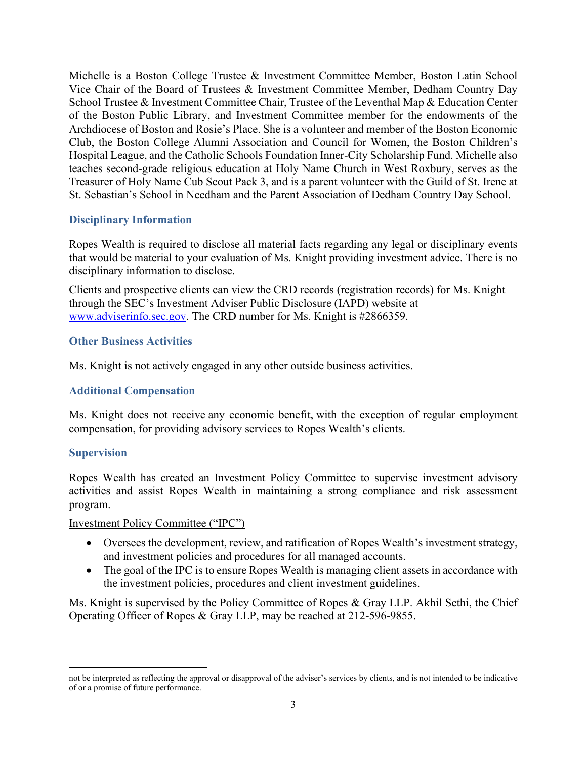Michelle is a Boston College Trustee & Investment Committee Member, Boston Latin School Vice Chair of the Board of Trustees & Investment Committee Member, Dedham Country Day School Trustee & Investment Committee Chair, Trustee of the Leventhal Map & Education Center of the Boston Public Library, and Investment Committee member for the endowments of the Archdiocese of Boston and Rosie's Place. She is a volunteer and member of the Boston Economic Club, the Boston College Alumni Association and Council for Women, the Boston Children's Hospital League, and the Catholic Schools Foundation Inner-City Scholarship Fund. Michelle also teaches second-grade religious education at Holy Name Church in West Roxbury, serves as the Treasurer of Holy Name Cub Scout Pack 3, and is a parent volunteer with the Guild of St. Irene at St. Sebastian's School in Needham and the Parent Association of Dedham Country Day School.

#### **Disciplinary Information**

Ropes Wealth is required to disclose all material facts regarding any legal or disciplinary events that would be material to your evaluation of Ms. Knight providing investment advice. There is no disciplinary information to disclose.

Clients and prospective clients can view the CRD records (registration records) for Ms. Knight through the SEC's Investment Adviser Public Disclosure (IAPD) website at [www.adviserinfo.sec.gov.](http://www.adviserinfo.sec.gov/) The CRD number for Ms. Knight is #2866359.

#### **Other Business Activities**

Ms. Knight is not actively engaged in any other outside business activities.

#### **Additional Compensation**

Ms. Knight does not receive any economic benefit, with the exception of regular employment compensation, for providing advisory services to Ropes Wealth's clients.

#### **Supervision**

Ropes Wealth has created an Investment Policy Committee to supervise investment advisory activities and assist Ropes Wealth in maintaining a strong compliance and risk assessment program.

#### Investment Policy Committee ("IPC")

- Oversees the development, review, and ratification of Ropes Wealth's investment strategy, and investment policies and procedures for all managed accounts.
- The goal of the IPC is to ensure Ropes Wealth is managing client assets in accordance with the investment policies, procedures and client investment guidelines.

Ms. Knight is supervised by the Policy Committee of Ropes & Gray LLP. Akhil Sethi, the Chief Operating Officer of Ropes & Gray LLP, may be reached at 212-596-9855.

not be interpreted as reflecting the approval or disapproval of the adviser's services by clients, and is not intended to be indicative of or a promise of future performance.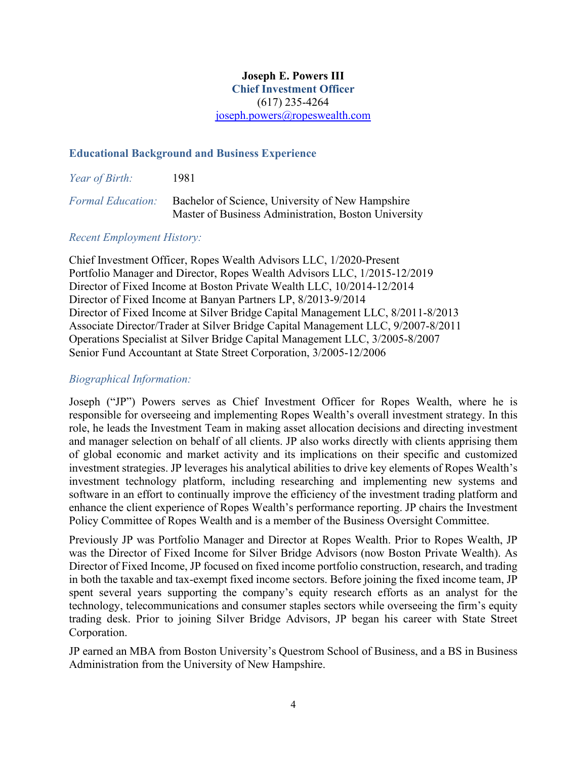## **Joseph E. Powers III**

**Chief Investment Officer** (617) 235-4264 [joseph.powers@ropeswealth.com](mailto:joseph.powers@ropeswealth.com)

#### **Educational Background and Business Experience**

| Year of Birth:           | 1981                                                                                                     |
|--------------------------|----------------------------------------------------------------------------------------------------------|
| <b>Formal Education:</b> | Bachelor of Science, University of New Hampshire<br>Master of Business Administration, Boston University |

#### *Recent Employment History:*

Chief Investment Officer, Ropes Wealth Advisors LLC, 1/2020-Present Portfolio Manager and Director, Ropes Wealth Advisors LLC, 1/2015-12/2019 Director of Fixed Income at Boston Private Wealth LLC, 10/2014-12/2014 Director of Fixed Income at Banyan Partners LP, 8/2013-9/2014 Director of Fixed Income at Silver Bridge Capital Management LLC, 8/2011-8/2013 Associate Director/Trader at Silver Bridge Capital Management LLC, 9/2007-8/2011 Operations Specialist at Silver Bridge Capital Management LLC, 3/2005-8/2007 Senior Fund Accountant at State Street Corporation, 3/2005-12/2006

#### *Biographical Information:*

Joseph ("JP") Powers serves as Chief Investment Officer for Ropes Wealth, where he is responsible for overseeing and implementing Ropes Wealth's overall investment strategy. In this role, he leads the Investment Team in making asset allocation decisions and directing investment and manager selection on behalf of all clients. JP also works directly with clients apprising them of global economic and market activity and its implications on their specific and customized investment strategies. JP leverages his analytical abilities to drive key elements of Ropes Wealth's investment technology platform, including researching and implementing new systems and software in an effort to continually improve the efficiency of the investment trading platform and enhance the client experience of Ropes Wealth's performance reporting. JP chairs the Investment Policy Committee of Ropes Wealth and is a member of the Business Oversight Committee.

Previously JP was Portfolio Manager and Director at Ropes Wealth. Prior to Ropes Wealth, JP was the Director of Fixed Income for Silver Bridge Advisors (now Boston Private Wealth). As Director of Fixed Income, JP focused on fixed income portfolio construction, research, and trading in both the taxable and tax-exempt fixed income sectors. Before joining the fixed income team, JP spent several years supporting the company's equity research efforts as an analyst for the technology, telecommunications and consumer staples sectors while overseeing the firm's equity trading desk. Prior to joining Silver Bridge Advisors, JP began his career with State Street Corporation.

JP earned an MBA from Boston University's Questrom School of Business, and a BS in Business Administration from the University of New Hampshire.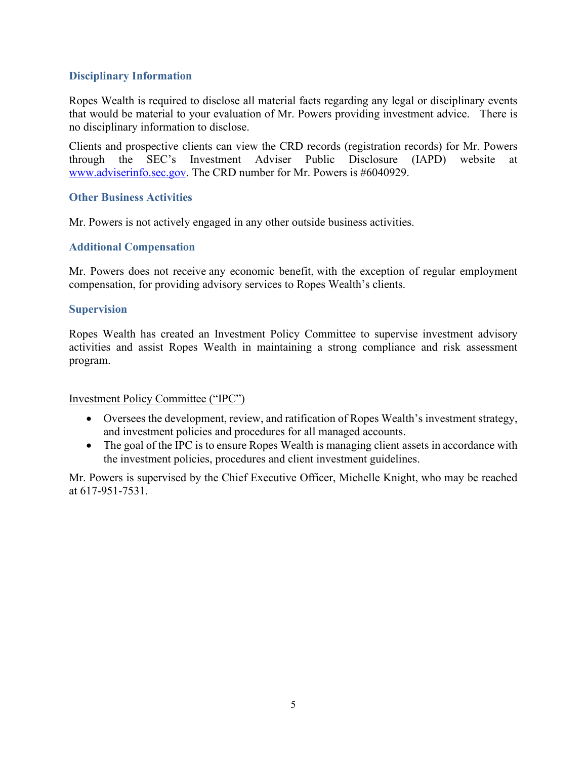#### **Disciplinary Information**

Ropes Wealth is required to disclose all material facts regarding any legal or disciplinary events that would be material to your evaluation of Mr. Powers providing investment advice. There is no disciplinary information to disclose.

Clients and prospective clients can view the CRD records (registration records) for Mr. Powers through the SEC's Investment Adviser Public Disclosure (IAPD) website at [www.adviserinfo.sec.gov.](http://www.adviserinfo.sec.gov/) The CRD number for Mr. Powers is #6040929.

#### **Other Business Activities**

Mr. Powers is not actively engaged in any other outside business activities.

### **Additional Compensation**

Mr. Powers does not receive any economic benefit, with the exception of regular employment compensation, for providing advisory services to Ropes Wealth's clients.

#### **Supervision**

Ropes Wealth has created an Investment Policy Committee to supervise investment advisory activities and assist Ropes Wealth in maintaining a strong compliance and risk assessment program.

#### Investment Policy Committee ("IPC")

- Oversees the development, review, and ratification of Ropes Wealth's investment strategy, and investment policies and procedures for all managed accounts.
- The goal of the IPC is to ensure Ropes Wealth is managing client assets in accordance with the investment policies, procedures and client investment guidelines.

Mr. Powers is supervised by the Chief Executive Officer, Michelle Knight, who may be reached at 617-951-7531.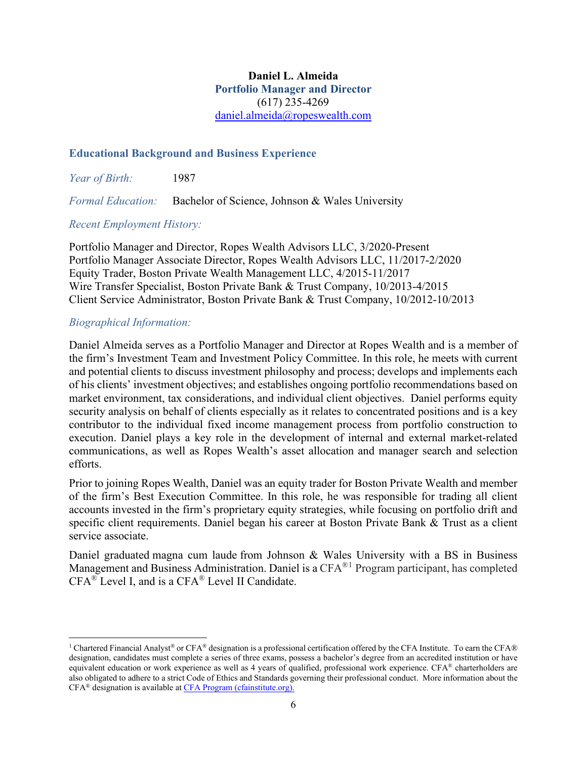#### **Daniel L. Almeida Portfolio Manager and Director** (617) 235-4269 [daniel.almeida@ropeswealth.com](mailto:daniel.almeida@ropeswealth.com)

#### **Educational Background and Business Experience**

*Year of Birth:* 1987

*Formal Education:* Bachelor of Science, Johnson & Wales University

#### *Recent Employment History:*

Portfolio Manager and Director, Ropes Wealth Advisors LLC, 3/2020-Present Portfolio Manager Associate Director, Ropes Wealth Advisors LLC, 11/2017-2/2020 Equity Trader, Boston Private Wealth Management LLC, 4/2015-11/2017 Wire Transfer Specialist, Boston Private Bank & Trust Company, 10/2013-4/2015 Client Service Administrator, Boston Private Bank & Trust Company, 10/2012-10/2013

#### *Biographical Information:*

Daniel Almeida serves as a Portfolio Manager and Director at Ropes Wealth and is a member of the firm's Investment Team and Investment Policy Committee. In this role, he meets with current and potential clients to discuss investment philosophy and process; develops and implements each of his clients' investment objectives; and establishes ongoing portfolio recommendations based on market environment, tax considerations, and individual client objectives. Daniel performs equity security analysis on behalf of clients especially as it relates to concentrated positions and is a key contributor to the individual fixed income management process from portfolio construction to execution. Daniel plays a key role in the development of internal and external market-related communications, as well as Ropes Wealth's asset allocation and manager search and selection efforts.

Prior to joining Ropes Wealth, Daniel was an equity trader for Boston Private Wealth and member of the firm's Best Execution Committee. In this role, he was responsible for trading all client accounts invested in the firm's proprietary equity strategies, while focusing on portfolio drift and specific client requirements. Daniel began his career at Boston Private Bank & Trust as a client service associate.

Daniel graduated magna cum laude from Johnson & Wales University with a BS in Business Management and Business Administration. Daniel is a CFA<sup>®[1](#page-29-0)</sup> Program participant, has completed CFA® Level I, and is a CFA® Level II Candidate.

<span id="page-29-0"></span><sup>&</sup>lt;sup>1</sup> Chartered Financial Analyst<sup>®</sup> or CFA<sup>®</sup> designation is a professional certification offered by the CFA Institute. To earn the CFA® designation, candidates must complete a series of three exams, possess a bachelor's degree from an accredited institution or have equivalent education or work experience as well as 4 years of qualified, professional work experience. CFA® charterholders are also obligated to adhere to a strict Code of Ethics and Standards governing their professional conduct. More information about the CFA® designation is available at [CFA Program \(cfainstitute.org\)](https://www.cfainstitute.org/en/programs/cfa)[.](http://www.cfp.net/)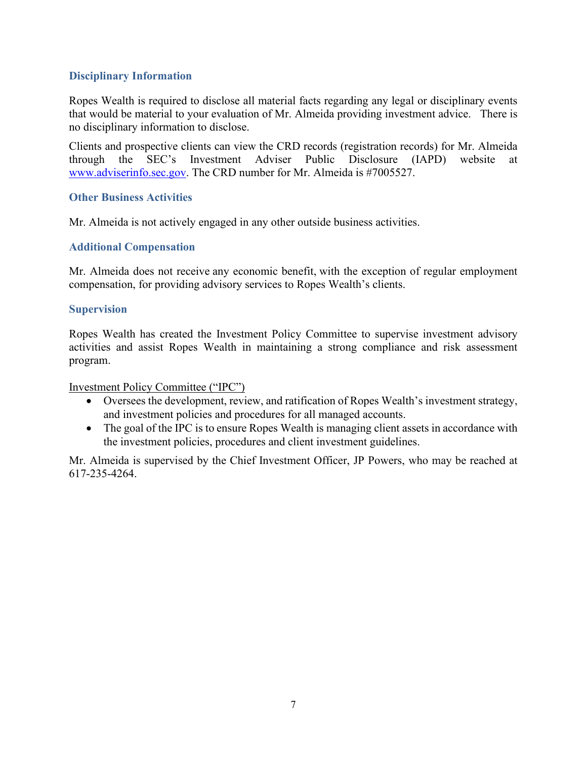#### **Disciplinary Information**

Ropes Wealth is required to disclose all material facts regarding any legal or disciplinary events that would be material to your evaluation of Mr. Almeida providing investment advice. There is no disciplinary information to disclose.

Clients and prospective clients can view the CRD records (registration records) for Mr. Almeida through the SEC's Investment Adviser Public Disclosure (IAPD) website at [www.adviserinfo.sec.gov.](http://www.adviserinfo.sec.gov/) The CRD number for Mr. Almeida is #7005527.

#### **Other Business Activities**

Mr. Almeida is not actively engaged in any other outside business activities.

### **Additional Compensation**

Mr. Almeida does not receive any economic benefit, with the exception of regular employment compensation, for providing advisory services to Ropes Wealth's clients.

#### **Supervision**

Ropes Wealth has created the Investment Policy Committee to supervise investment advisory activities and assist Ropes Wealth in maintaining a strong compliance and risk assessment program.

Investment Policy Committee ("IPC")

- Oversees the development, review, and ratification of Ropes Wealth's investment strategy, and investment policies and procedures for all managed accounts.
- The goal of the IPC is to ensure Ropes Wealth is managing client assets in accordance with the investment policies, procedures and client investment guidelines.

Mr. Almeida is supervised by the Chief Investment Officer, JP Powers, who may be reached at 617-235-4264.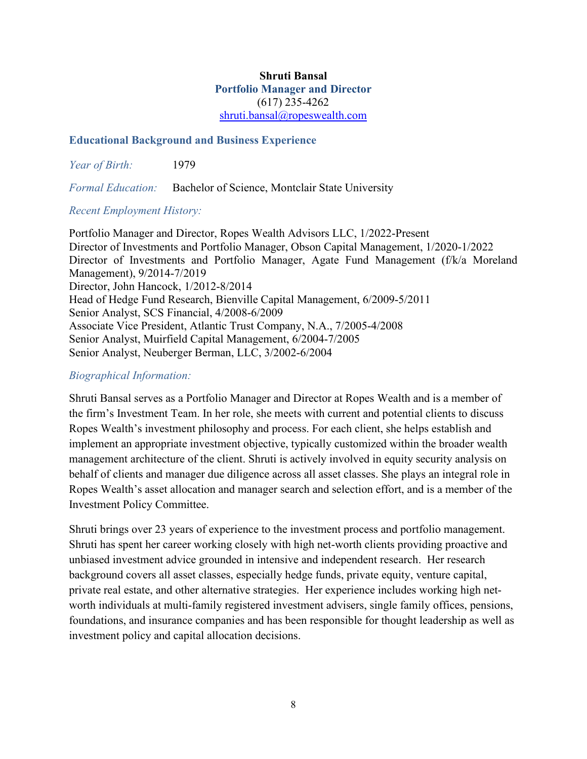#### **Shruti Bansal Portfolio Manager and Director** (617) 235-4262 [shruti.bansal@ropeswealth.com](mailto:shruti.bansal@ropeswealth.com)

#### **Educational Background and Business Experience**

*Year of Birth:* 1979

*Formal Education:* Bachelor of Science, Montclair State University

#### *Recent Employment History:*

Portfolio Manager and Director, Ropes Wealth Advisors LLC, 1/2022-Present Director of Investments and Portfolio Manager, Obson Capital Management, 1/2020-1/2022 Director of Investments and Portfolio Manager, Agate Fund Management (f/k/a Moreland Management), 9/2014-7/2019 Director, John Hancock, 1/2012-8/2014 Head of Hedge Fund Research, Bienville Capital Management, 6/2009-5/2011 Senior Analyst, SCS Financial, 4/2008-6/2009 Associate Vice President, Atlantic Trust Company, N.A., 7/2005-4/2008 Senior Analyst, Muirfield Capital Management, 6/2004-7/2005 Senior Analyst, Neuberger Berman, LLC, 3/2002-6/2004

#### *Biographical Information:*

Shruti Bansal serves as a Portfolio Manager and Director at Ropes Wealth and is a member of the firm's Investment Team. In her role, she meets with current and potential clients to discuss Ropes Wealth's investment philosophy and process. For each client, she helps establish and implement an appropriate investment objective, typically customized within the broader wealth management architecture of the client. Shruti is actively involved in equity security analysis on behalf of clients and manager due diligence across all asset classes. She plays an integral role in Ropes Wealth's asset allocation and manager search and selection effort, and is a member of the Investment Policy Committee.

Shruti brings over 23 years of experience to the investment process and portfolio management. Shruti has spent her career working closely with high net-worth clients providing proactive and unbiased investment advice grounded in intensive and independent research. Her research background covers all asset classes, especially hedge funds, private equity, venture capital, private real estate, and other alternative strategies. Her experience includes working high networth individuals at multi-family registered investment advisers, single family offices, pensions, foundations, and insurance companies and has been responsible for thought leadership as well as investment policy and capital allocation decisions.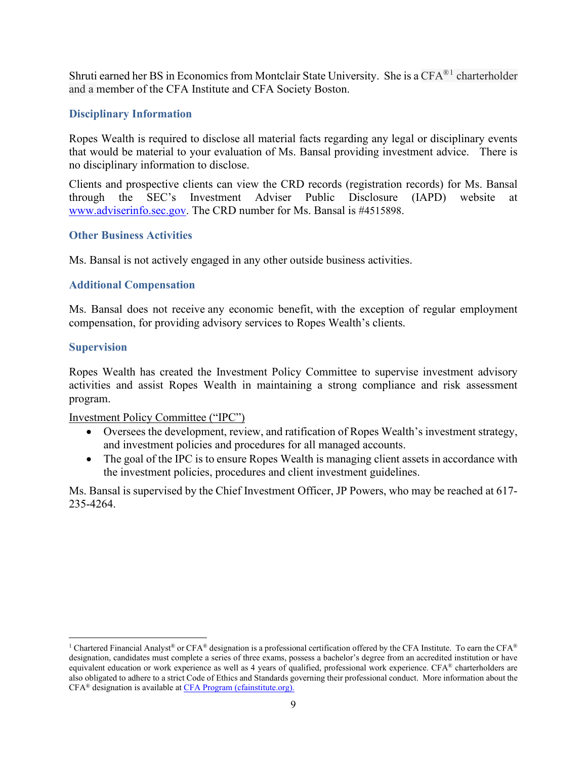Shruti earned her BS in Economics from Montclair State University. She is a CFA®[1](#page-32-0) charterholder and a member of the CFA Institute and CFA Society Boston.

#### **Disciplinary Information**

Ropes Wealth is required to disclose all material facts regarding any legal or disciplinary events that would be material to your evaluation of Ms. Bansal providing investment advice. There is no disciplinary information to disclose.

Clients and prospective clients can view the CRD records (registration records) for Ms. Bansal through the SEC's Investment Adviser Public Disclosure (IAPD) website at [www.adviserinfo.sec.gov.](http://www.adviserinfo.sec.gov/) The CRD number for Ms. Bansal is #4515898.

#### **Other Business Activities**

Ms. Bansal is not actively engaged in any other outside business activities.

#### **Additional Compensation**

Ms. Bansal does not receive any economic benefit, with the exception of regular employment compensation, for providing advisory services to Ropes Wealth's clients.

#### **Supervision**

Ropes Wealth has created the Investment Policy Committee to supervise investment advisory activities and assist Ropes Wealth in maintaining a strong compliance and risk assessment program.

#### Investment Policy Committee ("IPC")

- Oversees the development, review, and ratification of Ropes Wealth's investment strategy, and investment policies and procedures for all managed accounts.
- The goal of the IPC is to ensure Ropes Wealth is managing client assets in accordance with the investment policies, procedures and client investment guidelines.

Ms. Bansal is supervised by the Chief Investment Officer, JP Powers, who may be reached at 617- 235-4264.

<span id="page-32-0"></span><sup>&</sup>lt;sup>1</sup> Chartered Financial Analyst<sup>®</sup> or CFA<sup>®</sup> designation is a professional certification offered by the CFA Institute. To earn the CFA<sup>®</sup> designation, candidates must complete a series of three exams, possess a bachelor's degree from an accredited institution or have equivalent education or work experience as well as 4 years of qualified, professional work experience. CFA® charterholders are also obligated to adhere to a strict Code of Ethics and Standards governing their professional conduct. More information about the CFA® designation is available at [CFA Program \(cfainstitute.org\)](https://www.cfainstitute.org/en/programs/cfa)[.](http://www.cfp.net/)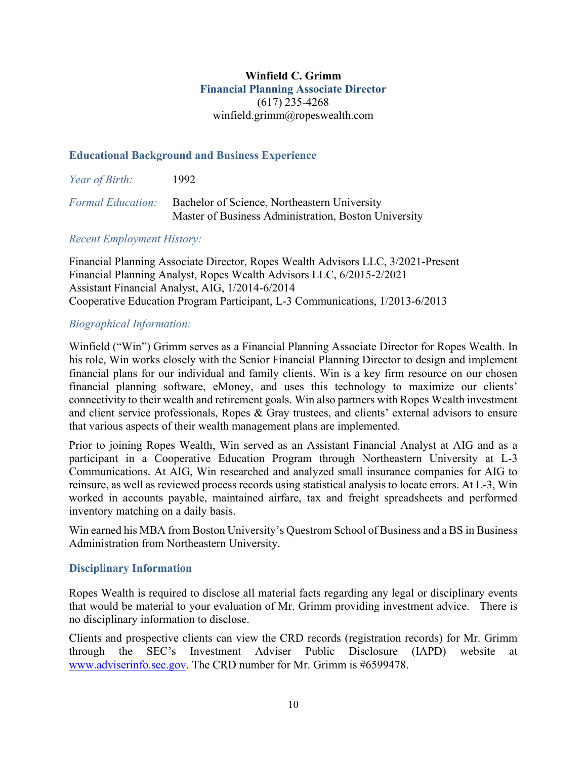#### **Winfield C. Grimm Financial Planning Associate Director** (617) 235-4268 winfield.grimm@ropeswealth.com

#### **Educational Background and Business Experience**

| Year of Birth:           | 1992.                                                                                                |
|--------------------------|------------------------------------------------------------------------------------------------------|
| <i>Formal Education:</i> | Bachelor of Science, Northeastern University<br>Master of Business Administration, Boston University |

#### *Recent Employment History:*

Financial Planning Associate Director, Ropes Wealth Advisors LLC, 3/2021-Present Financial Planning Analyst, Ropes Wealth Advisors LLC, 6/2015-2/2021 Assistant Financial Analyst, AIG, 1/2014-6/2014 Cooperative Education Program Participant, L-3 Communications, 1/2013-6/2013

#### *Biographical Information:*

Winfield ("Win") Grimm serves as a Financial Planning Associate Director for Ropes Wealth. In his role, Win works closely with the Senior Financial Planning Director to design and implement financial plans for our individual and family clients. Win is a key firm resource on our chosen financial planning software, eMoney, and uses this technology to maximize our clients' connectivity to their wealth and retirement goals. Win also partners with Ropes Wealth investment and client service professionals, Ropes & Gray trustees, and clients' external advisors to ensure that various aspects of their wealth management plans are implemented.

Prior to joining Ropes Wealth, Win served as an Assistant Financial Analyst at AIG and as a participant in a Cooperative Education Program through Northeastern University at L-3 Communications. At AIG, Win researched and analyzed small insurance companies for AIG to reinsure, as well as reviewed process records using statistical analysis to locate errors. At L-3, Win worked in accounts payable, maintained airfare, tax and freight spreadsheets and performed inventory matching on a daily basis.

Win earned his MBA from Boston University's Questrom School of Business and a BS in Business Administration from Northeastern University.

#### **Disciplinary Information**

Ropes Wealth is required to disclose all material facts regarding any legal or disciplinary events that would be material to your evaluation of Mr. Grimm providing investment advice. There is no disciplinary information to disclose.

Clients and prospective clients can view the CRD records (registration records) for Mr. Grimm through the SEC's Investment Adviser Public Disclosure (IAPD) website at [www.adviserinfo.sec.gov.](http://www.adviserinfo.sec.gov/) The CRD number for Mr. Grimm is #6599478.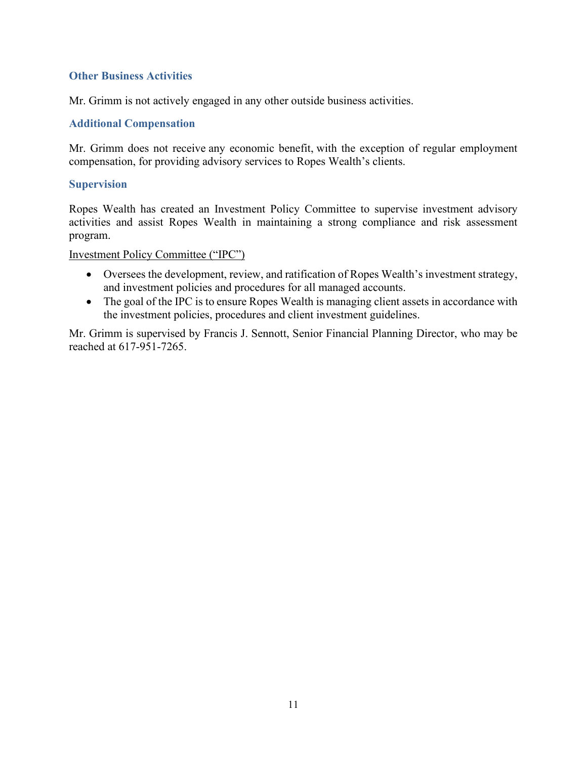#### **Other Business Activities**

Mr. Grimm is not actively engaged in any other outside business activities.

#### **Additional Compensation**

Mr. Grimm does not receive any economic benefit, with the exception of regular employment compensation, for providing advisory services to Ropes Wealth's clients.

#### **Supervision**

Ropes Wealth has created an Investment Policy Committee to supervise investment advisory activities and assist Ropes Wealth in maintaining a strong compliance and risk assessment program.

#### Investment Policy Committee ("IPC")

- Oversees the development, review, and ratification of Ropes Wealth's investment strategy, and investment policies and procedures for all managed accounts.
- The goal of the IPC is to ensure Ropes Wealth is managing client assets in accordance with the investment policies, procedures and client investment guidelines.

Mr. Grimm is supervised by Francis J. Sennott, Senior Financial Planning Director, who may be reached at 617-951-7265.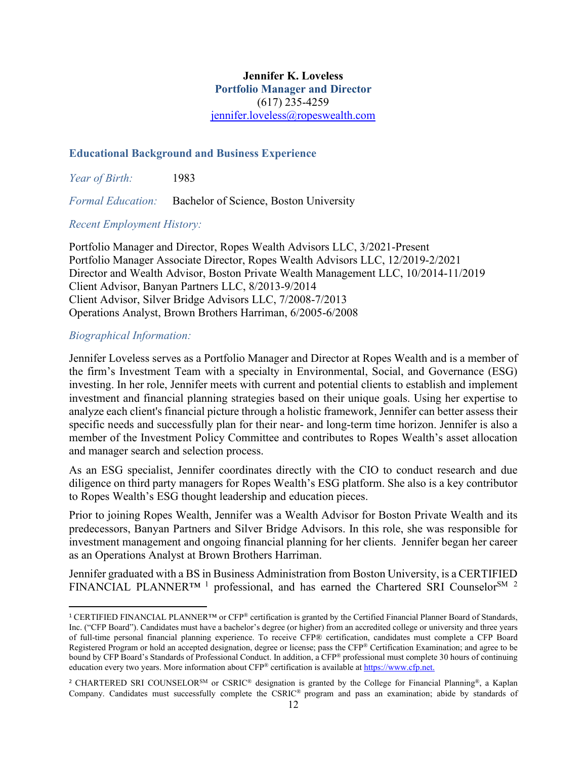#### **Jennifer K. Loveless Portfolio Manager and Director** (617) 235-4259 [jennifer.loveless@ropeswealth.com](mailto:jennifer.loveless@ropeswealth.com)

#### **Educational Background and Business Experience**

*Year of Birth:* 1983

*Formal Education:* Bachelor of Science, Boston University

#### *Recent Employment History:*

Portfolio Manager and Director, Ropes Wealth Advisors LLC, 3/2021-Present Portfolio Manager Associate Director, Ropes Wealth Advisors LLC, 12/2019-2/2021 Director and Wealth Advisor, Boston Private Wealth Management LLC, 10/2014-11/2019 Client Advisor, Banyan Partners LLC, 8/2013-9/2014 Client Advisor, Silver Bridge Advisors LLC, 7/2008-7/2013 Operations Analyst, Brown Brothers Harriman, 6/2005-6/2008

#### *Biographical Information:*

Jennifer Loveless serves as a Portfolio Manager and Director at Ropes Wealth and is a member of the firm's Investment Team with a specialty in Environmental, Social, and Governance (ESG) investing. In her role, Jennifer meets with current and potential clients to establish and implement investment and financial planning strategies based on their unique goals. Using her expertise to analyze each client's financial picture through a holistic framework, Jennifer can better assess their specific needs and successfully plan for their near- and long-term time horizon. Jennifer is also a member of the Investment Policy Committee and contributes to Ropes Wealth's asset allocation and manager search and selection process.

As an ESG specialist, Jennifer coordinates directly with the CIO to conduct research and due diligence on third party managers for Ropes Wealth's ESG platform. She also is a key contributor to Ropes Wealth's ESG thought leadership and education pieces.

Prior to joining Ropes Wealth, Jennifer was a Wealth Advisor for Boston Private Wealth and its predecessors, Banyan Partners and Silver Bridge Advisors. In this role, she was responsible for investment management and ongoing financial planning for her clients. Jennifer began her career as an Operations Analyst at Brown Brothers Harriman.

Jennifer graduated with a BS in Business Administration from Boston University, is a CERTIFIED FINANCIAL PLANNER<sup>TM [1](#page-35-0)</sup> professional, and has earned the Chartered SRI Counselor<sup>SM [2](#page-35-1)</sup>

<span id="page-35-0"></span><sup>1</sup> CERTIFIED FINANCIAL PLANNER™ or CFP® certification is granted by the Certified Financial Planner Board of Standards, Inc. ("CFP Board"). Candidates must have a bachelor's degree (or higher) from an accredited college or university and three years of full-time personal financial planning experience. To receive CFP® certification, candidates must complete a CFP Board Registered Program or hold an accepted designation, degree or license; pass the CFP® Certification Examination; and agree to be bound by CFP Board's Standards of Professional Conduct. In addition, a CFP® professional must complete 30 hours of continuing education every two years. More information about CFP® certification is available a[t https://www.cfp.net](https://www.cfp.net/)[.](http://www.cfp.net/)

<span id="page-35-1"></span><sup>2</sup> CHARTERED SRI COUNSELORSM or CSRIC® designation is granted by the College for Financial Planning®, a Kaplan Company. Candidates must successfully complete the CSRIC® program and pass an examination; abide by standards of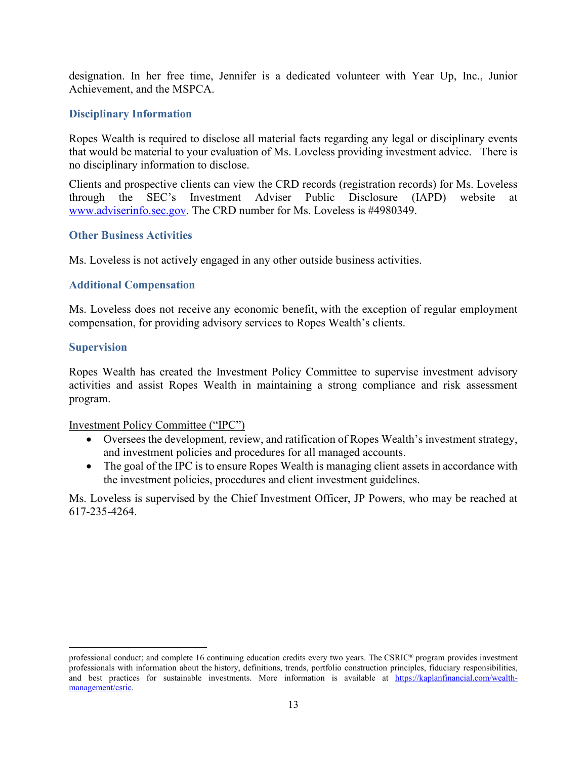designation. In her free time, Jennifer is a dedicated volunteer with Year Up, Inc., Junior Achievement, and the MSPCA.

#### **Disciplinary Information**

Ropes Wealth is required to disclose all material facts regarding any legal or disciplinary events that would be material to your evaluation of Ms. Loveless providing investment advice. There is no disciplinary information to disclose.

Clients and prospective clients can view the CRD records (registration records) for Ms. Loveless through the SEC's Investment Adviser Public Disclosure (IAPD) website at [www.adviserinfo.sec.gov.](http://www.adviserinfo.sec.gov/) The CRD number for Ms. Loveless is #4980349.

#### **Other Business Activities**

Ms. Loveless is not actively engaged in any other outside business activities.

#### **Additional Compensation**

Ms. Loveless does not receive any economic benefit, with the exception of regular employment compensation, for providing advisory services to Ropes Wealth's clients.

#### **Supervision**

Ropes Wealth has created the Investment Policy Committee to supervise investment advisory activities and assist Ropes Wealth in maintaining a strong compliance and risk assessment program.

Investment Policy Committee ("IPC")

- Oversees the development, review, and ratification of Ropes Wealth's investment strategy, and investment policies and procedures for all managed accounts.
- The goal of the IPC is to ensure Ropes Wealth is managing client assets in accordance with the investment policies, procedures and client investment guidelines.

Ms. Loveless is supervised by the Chief Investment Officer, JP Powers, who may be reached at 617-235-4264.

professional conduct; and complete 16 continuing education credits every two years. The CSRIC® program provides investment professionals with information about the history, definitions, trends, portfolio construction principles, fiduciary responsibilities, and best practices for sustainable investments. More information is available at [https://kaplanfinancial.com/wealth](https://kaplanfinancial.com/wealth-management/csric)[management/csric.](https://kaplanfinancial.com/wealth-management/csric)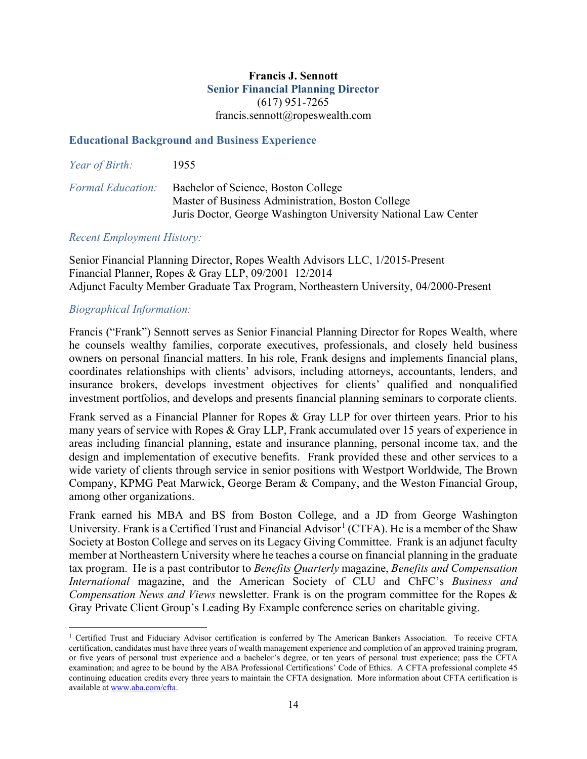#### **Francis J. Sennott Senior Financial Planning Director** (617) 951-7265 francis.sennott@ropeswealth.com

#### **Educational Background and Business Experience**

| <i>Year of Birth:</i>    | 1955                                                                                                                                                       |
|--------------------------|------------------------------------------------------------------------------------------------------------------------------------------------------------|
| <b>Formal Education:</b> | Bachelor of Science, Boston College<br>Master of Business Administration, Boston College<br>Juris Doctor, George Washington University National Law Center |

#### *Recent Employment History:*

Senior Financial Planning Director, Ropes Wealth Advisors LLC, 1/2015-Present Financial Planner, Ropes & Gray LLP, 09/2001–12/2014 Adjunct Faculty Member Graduate Tax Program, Northeastern University, 04/2000-Present

#### *Biographical Information:*

Francis ("Frank") Sennott serves as Senior Financial Planning Director for Ropes Wealth, where he counsels wealthy families, corporate executives, professionals, and closely held business owners on personal financial matters. In his role, Frank designs and implements financial plans, coordinates relationships with clients' advisors, including attorneys, accountants, lenders, and insurance brokers, develops investment objectives for clients' qualified and nonqualified investment portfolios, and develops and presents financial planning seminars to corporate clients.

Frank served as a Financial Planner for Ropes & Gray LLP for over thirteen years. Prior to his many years of service with Ropes & Gray LLP, Frank accumulated over 15 years of experience in areas including financial planning, estate and insurance planning, personal income tax, and the design and implementation of executive benefits. Frank provided these and other services to a wide variety of clients through service in senior positions with Westport Worldwide, The Brown Company, KPMG Peat Marwick, George Beram & Company, and the Weston Financial Group, among other organizations.

Frank earned his MBA and BS from Boston College, and a JD from George Washington University. Frank is a Certified Trust and Financial Advisor<sup>[1](#page-37-0)</sup> (CTFA). He is a member of the Shaw Society at Boston College and serves on its Legacy Giving Committee. Frank is an adjunct faculty member at Northeastern University where he teaches a course on financial planning in the graduate tax program. He is a past contributor to *Benefits Quarterly* magazine, *Benefits and Compensation International* magazine, and the American Society of CLU and ChFC's *Business and Compensation News and Views* newsletter. Frank is on the program committee for the Ropes & Gray Private Client Group's Leading By Example conference series on charitable giving.

<span id="page-37-0"></span><sup>1</sup> Certified Trust and Fiduciary Advisor certification is conferred by The American Bankers Association. To receive CFTA certification, candidates must have three years of wealth management experience and completion of an approved training program, or five years of personal trust experience and a bachelor's degree, or ten years of personal trust experience; pass the CFTA examination; and agree to be bound by the ABA Professional Certifications' Code of Ethics. A CFTA professional complete 45 continuing education credits every three years to maintain the CFTA designation. More information about CFTA certification is available a[t www.aba.com/cfta.](http://www.aba.com/cfta)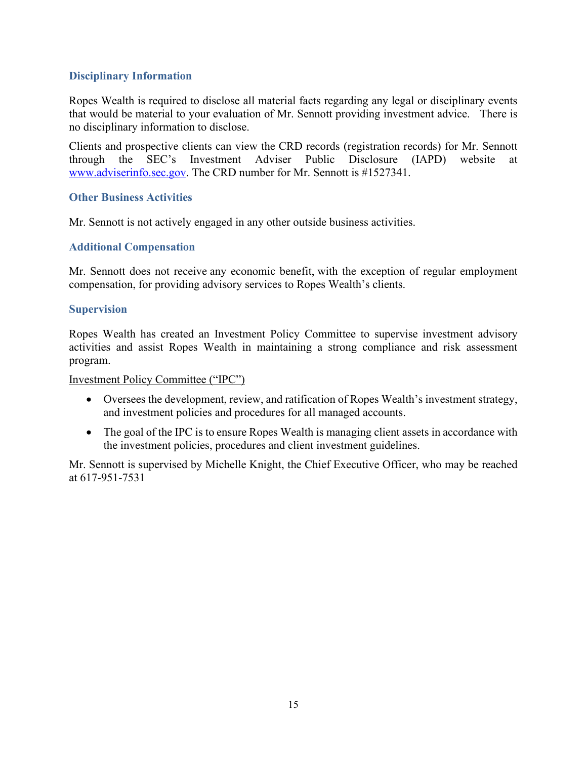#### **Disciplinary Information**

Ropes Wealth is required to disclose all material facts regarding any legal or disciplinary events that would be material to your evaluation of Mr. Sennott providing investment advice. There is no disciplinary information to disclose.

Clients and prospective clients can view the CRD records (registration records) for Mr. Sennott through the SEC's Investment Adviser Public Disclosure (IAPD) website at [www.adviserinfo.sec.gov.](http://www.adviserinfo.sec.gov/) The CRD number for Mr. Sennott is #1527341.

#### **Other Business Activities**

Mr. Sennott is not actively engaged in any other outside business activities.

#### **Additional Compensation**

Mr. Sennott does not receive any economic benefit, with the exception of regular employment compensation, for providing advisory services to Ropes Wealth's clients.

#### **Supervision**

Ropes Wealth has created an Investment Policy Committee to supervise investment advisory activities and assist Ropes Wealth in maintaining a strong compliance and risk assessment program.

#### Investment Policy Committee ("IPC")

- Oversees the development, review, and ratification of Ropes Wealth's investment strategy, and investment policies and procedures for all managed accounts.
- The goal of the IPC is to ensure Ropes Wealth is managing client assets in accordance with the investment policies, procedures and client investment guidelines.

Mr. Sennott is supervised by Michelle Knight, the Chief Executive Officer, who may be reached at 617-951-7531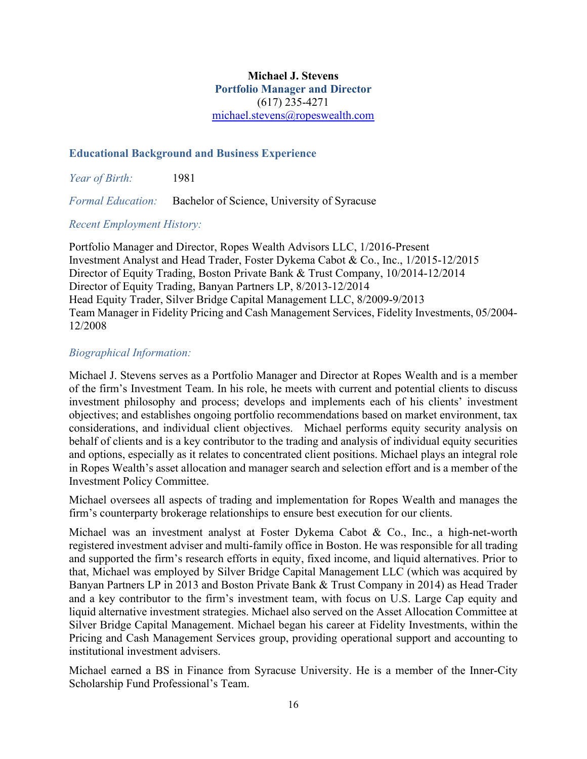#### **Michael J. Stevens Portfolio Manager and Director** (617) 235-4271 [michael.stevens@ropeswealth.com](mailto:michael.stevens@ropeswealth.com)

#### **Educational Background and Business Experience**

*Year of Birth:* 1981

*Formal Education:* Bachelor of Science, University of Syracuse

#### *Recent Employment History:*

Portfolio Manager and Director, Ropes Wealth Advisors LLC, 1/2016-Present Investment Analyst and Head Trader, Foster Dykema Cabot & Co., Inc., 1/2015-12/2015 Director of Equity Trading, Boston Private Bank & Trust Company, 10/2014-12/2014 Director of Equity Trading, Banyan Partners LP, 8/2013-12/2014 Head Equity Trader, Silver Bridge Capital Management LLC, 8/2009-9/2013 Team Manager in Fidelity Pricing and Cash Management Services, Fidelity Investments, 05/2004- 12/2008

#### *Biographical Information:*

Michael J. Stevens serves as a Portfolio Manager and Director at Ropes Wealth and is a member of the firm's Investment Team. In his role, he meets with current and potential clients to discuss investment philosophy and process; develops and implements each of his clients' investment objectives; and establishes ongoing portfolio recommendations based on market environment, tax considerations, and individual client objectives. Michael performs equity security analysis on behalf of clients and is a key contributor to the trading and analysis of individual equity securities and options, especially as it relates to concentrated client positions. Michael plays an integral role in Ropes Wealth's asset allocation and manager search and selection effort and is a member of the Investment Policy Committee.

Michael oversees all aspects of trading and implementation for Ropes Wealth and manages the firm's counterparty brokerage relationships to ensure best execution for our clients.

Michael was an investment analyst at Foster Dykema Cabot & Co., Inc., a high-net-worth registered investment adviser and multi-family office in Boston. He was responsible for all trading and supported the firm's research efforts in equity, fixed income, and liquid alternatives. Prior to that, Michael was employed by Silver Bridge Capital Management LLC (which was acquired by Banyan Partners LP in 2013 and Boston Private Bank & Trust Company in 2014) as Head Trader and a key contributor to the firm's investment team, with focus on U.S. Large Cap equity and liquid alternative investment strategies. Michael also served on the Asset Allocation Committee at Silver Bridge Capital Management. Michael began his career at Fidelity Investments, within the Pricing and Cash Management Services group, providing operational support and accounting to institutional investment advisers.

Michael earned a BS in Finance from Syracuse University. He is a member of the Inner-City Scholarship Fund Professional's Team.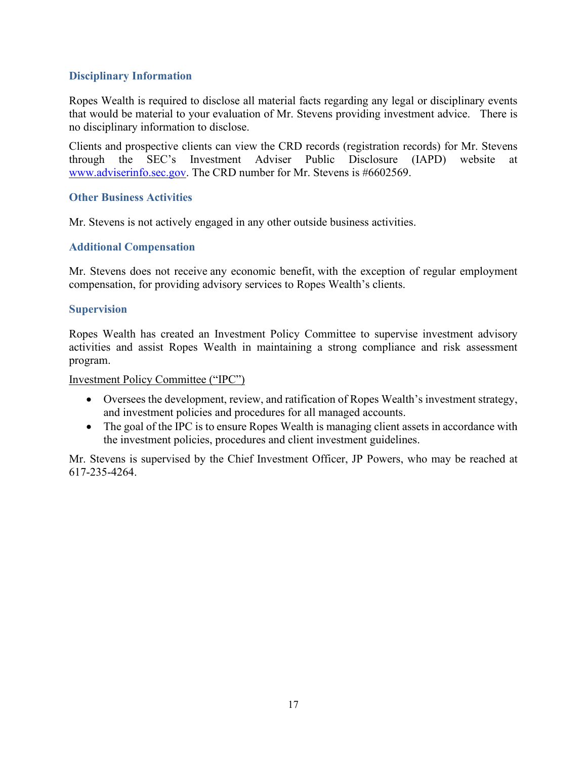#### **Disciplinary Information**

Ropes Wealth is required to disclose all material facts regarding any legal or disciplinary events that would be material to your evaluation of Mr. Stevens providing investment advice. There is no disciplinary information to disclose.

Clients and prospective clients can view the CRD records (registration records) for Mr. Stevens through the SEC's Investment Adviser Public Disclosure (IAPD) website at [www.adviserinfo.sec.gov.](http://www.adviserinfo.sec.gov/) The CRD number for Mr. Stevens is #6602569.

#### **Other Business Activities**

Mr. Stevens is not actively engaged in any other outside business activities.

#### **Additional Compensation**

Mr. Stevens does not receive any economic benefit, with the exception of regular employment compensation, for providing advisory services to Ropes Wealth's clients.

#### **Supervision**

Ropes Wealth has created an Investment Policy Committee to supervise investment advisory activities and assist Ropes Wealth in maintaining a strong compliance and risk assessment program.

#### Investment Policy Committee ("IPC")

- Oversees the development, review, and ratification of Ropes Wealth's investment strategy, and investment policies and procedures for all managed accounts.
- The goal of the IPC is to ensure Ropes Wealth is managing client assets in accordance with the investment policies, procedures and client investment guidelines.

Mr. Stevens is supervised by the Chief Investment Officer, JP Powers, who may be reached at 617-235-4264.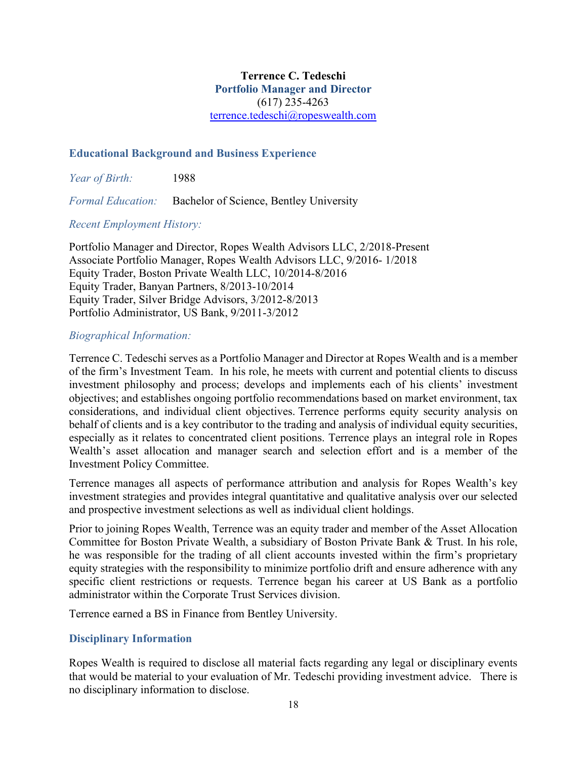#### **Terrence C. Tedeschi Portfolio Manager and Director** (617) 235-4263 [terrence.tedeschi@ropeswealth.com](mailto:terrence.tedeschi@ropeswealth.com)

#### **Educational Background and Business Experience**

*Year of Birth:* 1988

*Formal Education:* Bachelor of Science, Bentley University

#### *Recent Employment History:*

Portfolio Manager and Director, Ropes Wealth Advisors LLC, 2/2018-Present Associate Portfolio Manager, Ropes Wealth Advisors LLC, 9/2016- 1/2018 Equity Trader, Boston Private Wealth LLC, 10/2014-8/2016 Equity Trader, Banyan Partners, 8/2013-10/2014 Equity Trader, Silver Bridge Advisors, 3/2012-8/2013 Portfolio Administrator, US Bank, 9/2011-3/2012

#### *Biographical Information:*

Terrence C. Tedeschi serves as a Portfolio Manager and Director at Ropes Wealth and is a member of the firm's Investment Team. In his role, he meets with current and potential clients to discuss investment philosophy and process; develops and implements each of his clients' investment objectives; and establishes ongoing portfolio recommendations based on market environment, tax considerations, and individual client objectives. Terrence performs equity security analysis on behalf of clients and is a key contributor to the trading and analysis of individual equity securities, especially as it relates to concentrated client positions. Terrence plays an integral role in Ropes Wealth's asset allocation and manager search and selection effort and is a member of the Investment Policy Committee.

Terrence manages all aspects of performance attribution and analysis for Ropes Wealth's key investment strategies and provides integral quantitative and qualitative analysis over our selected and prospective investment selections as well as individual client holdings.

Prior to joining Ropes Wealth, Terrence was an equity trader and member of the Asset Allocation Committee for Boston Private Wealth, a subsidiary of Boston Private Bank & Trust. In his role, he was responsible for the trading of all client accounts invested within the firm's proprietary equity strategies with the responsibility to minimize portfolio drift and ensure adherence with any specific client restrictions or requests. Terrence began his career at US Bank as a portfolio administrator within the Corporate Trust Services division.

Terrence earned a BS in Finance from Bentley University.

#### **Disciplinary Information**

Ropes Wealth is required to disclose all material facts regarding any legal or disciplinary events that would be material to your evaluation of Mr. Tedeschi providing investment advice. There is no disciplinary information to disclose.